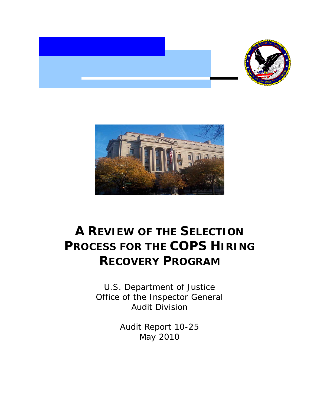



# **A REVIEW OF THE SELECTION PROCESS FOR THE COPS HIRING RECOVERY PROGRAM**

U.S. Department of Justice Office of the Inspector General Audit Division

> Audit Report 10-25 May 2010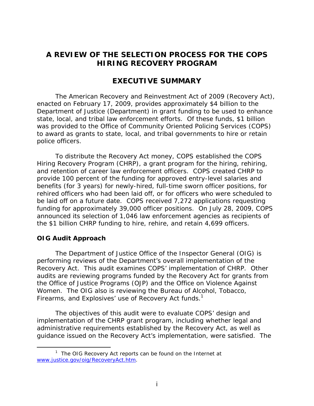# **HIRING RECOVERY PROGRAM A REVIEW OF THE SELECTION PROCESS FOR THE COPS**

# **EXECUTIVE SUMMARY**

The American Recovery and Reinvestment Act of 2009 (Recovery Act), enacted on February 17, 2009, provides approximately \$4 billion to the Department of Justice (Department) in grant funding to be used to enhance state, local, and tribal law enforcement efforts. Of these funds, \$1 billion was provided to the Office of Community Oriented Policing Services (COPS) to award as grants to state, local, and tribal governments to hire or retain police officers.

To distribute the Recovery Act money, COPS established the COPS Hiring Recovery Program (CHRP), a grant program for the hiring, rehiring, and retention of career law enforcement officers. COPS created CHRP to provide 100 percent of the funding for approved entry-level salaries and benefits (for 3 years) for newly-hired, full-time sworn officer positions, for rehired officers who had been laid off, or for officers who were scheduled to be laid off on a future date. COPS received 7,272 applications requesting funding for approximately 39,000 officer positions. On July 28, 2009, COPS announced its selection of 1,046 law enforcement agencies as recipients of the \$1 billion CHRP funding to hire, rehire, and retain 4,699 officers.

#### **OIG Audit Approach**

 $\overline{a}$ 

The Department of Justice Office of the Inspector General (OIG) is performing reviews of the Department's overall implementation of the Recovery Act. This audit examines COPS' implementation of CHRP. Other audits are reviewing programs funded by the Recovery Act for grants from the Office of Justice Programs (OJP) and the Office on Violence Against Women. The OIG also is reviewing the Bureau of Alcohol, Tobacco, Firearms, and Explosives' use of Recovery Act funds.<sup>1</sup>

The objectives of this audit were to evaluate COPS' design and implementation of the CHRP grant program, including whether legal and administrative requirements established by the Recovery Act, as well as guidance issued on the Recovery Act's implementation, were satisfied. The

<sup>&</sup>lt;sup>1</sup> The OIG Recovery Act reports can be found on the Internet at www.justice.gov/oig/RecoveryAct.htm.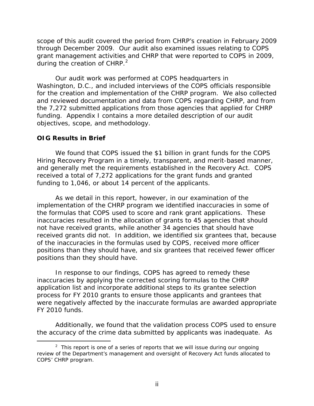during the creation of CHRP. $2$ scope of this audit covered the period from CHRP's creation in February 2009 through December 2009. Our audit also examined issues relating to COPS grant management activities and CHRP that were reported to COPS in 2009,

Our audit work was performed at COPS headquarters in Washington, D.C., and included interviews of the COPS officials responsible for the creation and implementation of the CHRP program. We also collected and reviewed documentation and data from COPS regarding CHRP, and from the 7,272 submitted applications from those agencies that applied for CHRP funding. Appendix I contains a more detailed description of our audit objectives, scope, and methodology.

#### **OIG Results in Brief**

 $\overline{a}$ 

We found that COPS issued the \$1 billion in grant funds for the COPS Hiring Recovery Program in a timely, transparent, and merit-based manner, and generally met the requirements established in the Recovery Act. COPS received a total of 7,272 applications for the grant funds and granted funding to 1,046, or about 14 percent of the applicants.

As we detail in this report, however, in our examination of the implementation of the CHRP program we identified inaccuracies in some of the formulas that COPS used to score and rank grant applications. These inaccuracies resulted in the allocation of grants to 45 agencies that should not have received grants, while another 34 agencies that should have received grants did not. In addition, we identified six grantees that, because of the inaccuracies in the formulas used by COPS, received more officer positions than they should have, and six grantees that received fewer officer positions than they should have.

In response to our findings, COPS has agreed to remedy these inaccuracies by applying the corrected scoring formulas to the CHRP application list and incorporate additional steps to its grantee selection process for FY 2010 grants to ensure those applicants and grantees that were negatively affected by the inaccurate formulas are awarded appropriate FY 2010 funds.

Additionally, we found that the validation process COPS used to ensure the accuracy of the crime data submitted by applicants was inadequate. As

<sup>&</sup>lt;sup>2</sup> This report is one of a series of reports that we will issue during our ongoing review of the Department's management and oversight of Recovery Act funds allocated to COPS' CHRP program.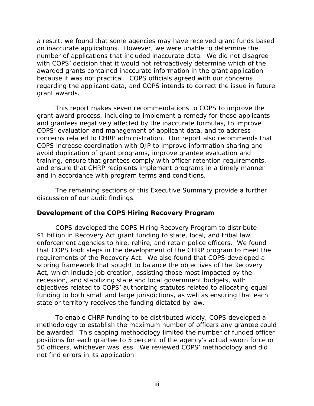a result, we found that some agencies may have received grant funds based on inaccurate applications. However, we were unable to determine the number of applications that included inaccurate data. We did not disagree with COPS' decision that it would not retroactively determine which of the awarded grants contained inaccurate information in the grant application because it was not practical. COPS officials agreed with our concerns regarding the applicant data, and COPS intends to correct the issue in future grant awards.

This report makes seven recommendations to COPS to improve the grant award process, including to implement a remedy for those applicants and grantees negatively affected by the inaccurate formulas, to improve COPS' evaluation and management of applicant data, and to address concerns related to CHRP administration. Our report also recommends that COPS increase coordination with OJP to improve information sharing and avoid duplication of grant programs, improve grantee evaluation and training, ensure that grantees comply with officer retention requirements, and ensure that CHRP recipients implement programs in a timely manner and in accordance with program terms and conditions.

The remaining sections of this Executive Summary provide a further discussion of our audit findings.

# **Development of the COPS Hiring Recovery Program**

COPS developed the COPS Hiring Recovery Program to distribute \$1 billion in Recovery Act grant funding to state, local, and tribal law enforcement agencies to hire, rehire, and retain police officers. We found that COPS took steps in the development of the CHRP program to meet the requirements of the Recovery Act. We also found that COPS developed a scoring framework that sought to balance the objectives of the Recovery Act, which include job creation, assisting those most impacted by the recession, and stabilizing state and local government budgets, with objectives related to COPS' authorizing statutes related to allocating equal funding to both small and large jurisdictions, as well as ensuring that each state or territory receives the funding dictated by law.

To enable CHRP funding to be distributed widely, COPS developed a methodology to establish the maximum number of officers any grantee could be awarded. This capping methodology limited the number of funded officer positions for each grantee to 5 percent of the agency's actual sworn force or 50 officers, whichever was less. We reviewed COPS' methodology and did not find errors in its application.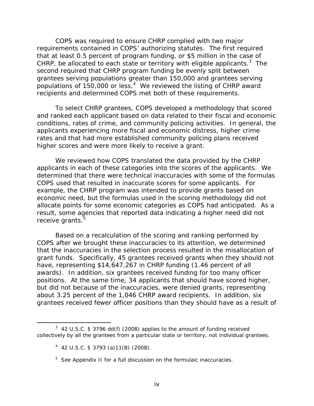COPS was required to ensure CHRP complied with two major requirements contained in COPS' authorizing statutes. The first required that at least 0.5 percent of program funding, or \$5 million in the case of CHRP, be allocated to each state or territory with eligible applicants. $3$  The second required that CHRP program funding be evenly split between grantees serving populations greater than 150,000 and grantees serving populations of  $150,000$  or less.<sup>4</sup> We reviewed the listing of CHRP award recipients and determined COPS met both of these requirements.

To select CHRP grantees, COPS developed a methodology that scored and ranked each applicant based on data related to their fiscal and economic conditions, rates of crime, and community policing activities. In general, the applicants experiencing more fiscal and economic distress, higher crime rates and that had more established community policing plans received higher scores and were more likely to receive a grant.

We reviewed how COPS translated the data provided by the CHRP applicants in each of these categories into the scores of the applicants. We determined that there were technical inaccuracies with some of the formulas COPS used that resulted in inaccurate scores for some applicants. For example, the CHRP program was intended to provide grants based on economic need, but the formulas used in the scoring methodology did not allocate points for some economic categories as COPS had anticipated. As a result, some agencies that reported data indicating a higher need did not receive grants.<sup>5</sup>

Based on a recalculation of the scoring and ranking performed by COPS after we brought these inaccuracies to its attention, we determined that the inaccuracies in the selection process resulted in the misallocation of grant funds. Specifically, 45 grantees received grants when they should not have, representing \$14,647,267 in CHRP funding (1.46 percent of all awards). In addition, six grantees received funding for too many officer positions. At the same time, 34 applicants that should have scored higher, but did not because of the inaccuracies, were denied grants, representing about 3.25 percent of the 1,046 CHRP award recipients. In addition, six grantees received fewer officer positions than they should have as a result of

 $\overline{a}$ 

 $3$  42 U.S.C. § 3796 dd(f) (2008) applies to the amount of funding received collectively by all the grantees from a particular state or territory, not individual grantees.

<sup>4</sup> 42 U.S.C. § 3793 (a)11(B) (2008).

<sup>&</sup>lt;sup>5</sup> See Appendix II for a full discussion on the formulaic inaccuracies.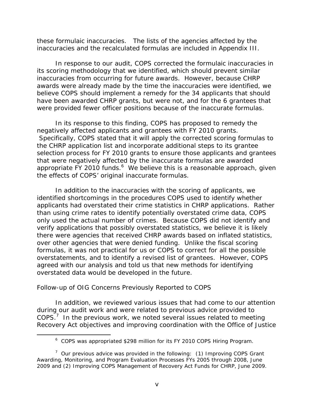these formulaic inaccuracies. The lists of the agencies affected by the inaccuracies and the recalculated formulas are included in Appendix III.

In response to our audit, COPS corrected the formulaic inaccuracies in its scoring methodology that we identified, which should prevent similar inaccuracies from occurring for future awards. However, because CHRP awards were already made by the time the inaccuracies were identified, we believe COPS should implement a remedy for the 34 applicants that should have been awarded CHRP grants, but were not, and for the 6 grantees that were provided fewer officer positions because of the inaccurate formulas.

In its response to this finding, COPS has proposed to remedy the negatively affected applicants and grantees with FY 2010 grants. Specifically, COPS stated that it will apply the corrected scoring formulas to the CHRP application list and incorporate additional steps to its grantee selection process for FY 2010 grants to ensure those applicants and grantees that were negatively affected by the inaccurate formulas are awarded appropriate FY 2010 funds. $^6$  We believe this is a reasonable approach, given the effects of COPS' original inaccurate formulas.

In addition to the inaccuracies with the scoring of applicants, we identified shortcomings in the procedures COPS used to identify whether applicants had overstated their crime statistics in CHRP applications. Rather than using crime rates to identify potentially overstated crime data, COPS only used the actual number of crimes. Because COPS did not identify and verify applications that possibly overstated statistics, we believe it is likely there were agencies that received CHRP awards based on inflated statistics, over other agencies that were denied funding. Unlike the fiscal scoring formulas, it was not practical for us or COPS to correct for all the possible overstatements, and to identify a revised list of grantees. However, COPS agreed with our analysis and told us that new methods for identifying overstated data would be developed in the future.

# *Follow-up of OIG Concerns Previously Reported to COPS*

 $\overline{a}$ 

In addition, we reviewed various issues that had come to our attention during our audit work and were related to previous advice provided to COPS. $7$  In the previous work, we noted several issues related to meeting Recovery Act objectives and improving coordination with the Office of Justice

<sup>&</sup>lt;sup>6</sup> COPS was appropriated \$298 million for its FY 2010 COPS Hiring Program.

 $7$  Our previous advice was provided in the following: (1) Improving COPS Grant Awarding, Monitoring, and Program Evaluation Processes FYs 2005 through 2008, June 2009 and (2) Improving COPS Management of Recovery Act Funds for CHRP, June 2009.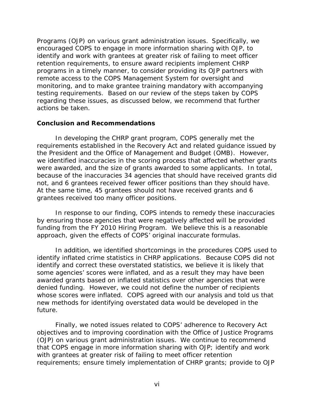Programs (OJP) on various grant administration issues. Specifically, we encouraged COPS to engage in more information sharing with OJP, to identify and work with grantees at greater risk of failing to meet officer retention requirements, to ensure award recipients implement CHRP programs in a timely manner, to consider providing its OJP partners with remote access to the COPS Management System for oversight and monitoring, and to make grantee training mandatory with accompanying testing requirements. Based on our review of the steps taken by COPS regarding these issues, as discussed below, we recommend that further actions be taken.

#### **Conclusion and Recommendations**

In developing the CHRP grant program, COPS generally met the requirements established in the Recovery Act and related guidance issued by the President and the Office of Management and Budget (OMB). However, we identified inaccuracies in the scoring process that affected whether grants were awarded, and the size of grants awarded to some applicants. In total, because of the inaccuracies 34 agencies that should have received grants did not, and 6 grantees received fewer officer positions than they should have. At the same time, 45 grantees should not have received grants and 6 grantees received too many officer positions.

In response to our finding, COPS intends to remedy these inaccuracies by ensuring those agencies that were negatively affected will be provided funding from the FY 2010 Hiring Program. We believe this is a reasonable approach, given the effects of COPS' original inaccurate formulas.

In addition, we identified shortcomings in the procedures COPS used to identify inflated crime statistics in CHRP applications. Because COPS did not identify and correct these overstated statistics, we believe it is likely that some agencies' scores were inflated, and as a result they may have been awarded grants based on inflated statistics over other agencies that were denied funding. However, we could not define the number of recipients whose scores were inflated. COPS agreed with our analysis and told us that new methods for identifying overstated data would be developed in the future.

Finally, we noted issues related to COPS' adherence to Recovery Act objectives and to improving coordination with the Office of Justice Programs (OJP) on various grant administration issues. We continue to recommend that COPS engage in more information sharing with OJP; identify and work with grantees at greater risk of failing to meet officer retention requirements; ensure timely implementation of CHRP grants; provide to OJP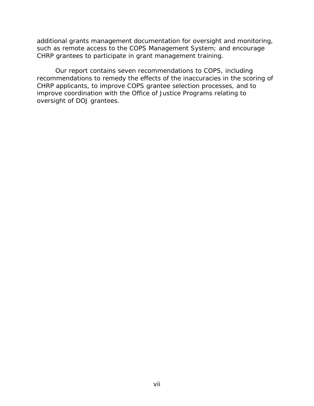additional grants management documentation for oversight and monitoring, such as remote access to the COPS Management System; and encourage CHRP grantees to participate in grant management training.

Our report contains seven recommendations to COPS, including recommendations to remedy the effects of the inaccuracies in the scoring of CHRP applicants, to improve COPS grantee selection processes, and to improve coordination with the Office of Justice Programs relating to oversight of DOJ grantees.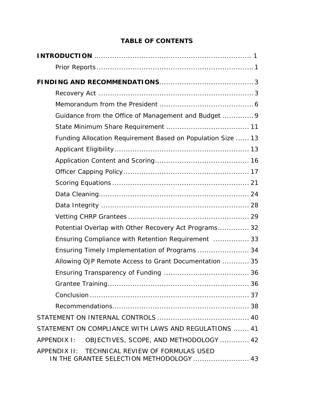# **TABLE OF CONTENTS**

| Guidance from the Office of Management and Budget  9                                       |
|--------------------------------------------------------------------------------------------|
|                                                                                            |
| Funding Allocation Requirement Based on Population Size  13                                |
|                                                                                            |
|                                                                                            |
|                                                                                            |
|                                                                                            |
|                                                                                            |
|                                                                                            |
|                                                                                            |
| Potential Overlap with Other Recovery Act Programs 32                                      |
| Ensuring Compliance with Retention Requirement  33                                         |
| Ensuring Timely Implementation of Programs  34                                             |
| Allowing OJP Remote Access to Grant Documentation  35                                      |
|                                                                                            |
|                                                                                            |
|                                                                                            |
|                                                                                            |
|                                                                                            |
| STATEMENT ON COMPLIANCE WITH LAWS AND REGULATIONS  41                                      |
| OBJECTIVES, SCOPE, AND METHODOLOGY  42<br>APPENDIX I:                                      |
| APPENDIX II: TECHNICAL REVIEW OF FORMULAS USED<br>IN THE GRANTEE SELECTION METHODOLOGY  43 |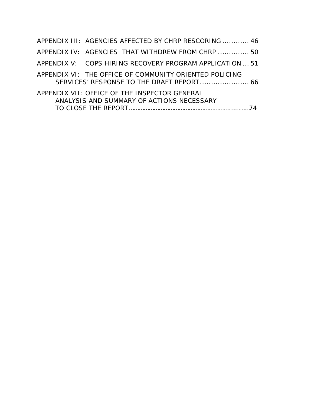| APPENDIX III: AGENCIES AFFECTED BY CHRP RESCORING  46                                      |  |
|--------------------------------------------------------------------------------------------|--|
| APPENDIX IV: AGENCIES THAT WITHDREW FROM CHRP  50                                          |  |
| APPENDIX V: COPS HIRING RECOVERY PROGRAM APPLICATION  51                                   |  |
| APPENDIX VI: THE OFFICE OF COMMUNITY ORIENTED POLICING                                     |  |
| APPENDIX VII: OFFICE OF THE INSPECTOR GENERAL<br>ANALYSIS AND SUMMARY OF ACTIONS NECESSARY |  |
|                                                                                            |  |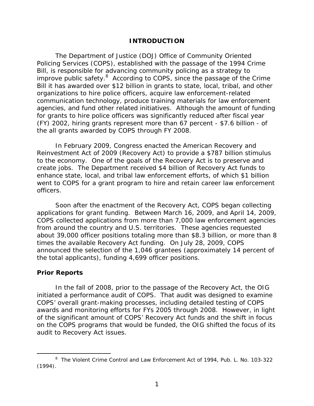#### **INTRODUCTION**

<span id="page-10-0"></span>The Department of Justice (DOJ) Office of Community Oriented Policing Services (COPS), established with the passage of the 1994 Crime Bill, is responsible for advancing community policing as a strategy to improve public safety.<sup>8</sup> According to COPS, since the passage of the Crime Bill it has awarded over \$12 billion in grants to state, local, tribal, and other organizations to hire police officers, acquire law enforcement-related communication technology, produce training materials for law enforcement agencies, and fund other related initiatives. Although the amount of funding for grants to hire police officers was significantly reduced after fiscal year (FY) 2002, hiring grants represent more than 67 percent - \$7.6 billion - of the all grants awarded by COPS through FY 2008.

In February 2009, Congress enacted the American Recovery and Reinvestment Act of 2009 (Recovery Act) to provide a \$787 billion stimulus to the economy. One of the goals of the Recovery Act is to preserve and create jobs. The Department received \$4 billion of Recovery Act funds to enhance state, local, and tribal law enforcement efforts, of which \$1 billion went to COPS for a grant program to hire and retain career law enforcement officers.

Soon after the enactment of the Recovery Act, COPS began collecting applications for grant funding. Between March 16, 2009, and April 14, 2009, COPS collected applications from more than 7,000 law enforcement agencies from around the country and U.S. territories. These agencies requested about 39,000 officer positions totaling more than \$8.3 billion, or more than 8 times the available Recovery Act funding. On July 28, 2009, COPS announced the selection of the 1,046 grantees (approximately 14 percent of the total applicants), funding 4,699 officer positions.

#### **Prior Reports**

 $\overline{a}$ 

In the fall of 2008, prior to the passage of the Recovery Act, the OIG initiated a performance audit of COPS. That audit was designed to examine COPS' overall grant-making processes, including detailed testing of COPS awards and monitoring efforts for FYs 2005 through 2008. However, in light of the significant amount of COPS' Recovery Act funds and the shift in focus on the COPS programs that would be funded, the OIG shifted the focus of its audit to Recovery Act issues.

<sup>&</sup>lt;sup>8</sup> The Violent Crime Control and Law Enforcement Act of 1994, Pub. L. No. 103-322 (1994).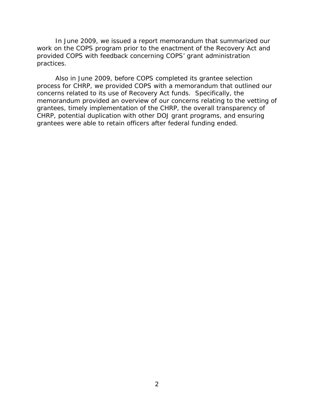In June 2009, we issued a report memorandum that summarized our work on the COPS program prior to the enactment of the Recovery Act and provided COPS with feedback concerning COPS' grant administration practices.

Also in June 2009, before COPS completed its grantee selection process for CHRP, we provided COPS with a memorandum that outlined our concerns related to its use of Recovery Act funds. Specifically, the memorandum provided an overview of our concerns relating to the vetting of grantees, timely implementation of the CHRP, the overall transparency of CHRP, potential duplication with other DOJ grant programs, and ensuring grantees were able to retain officers after federal funding ended.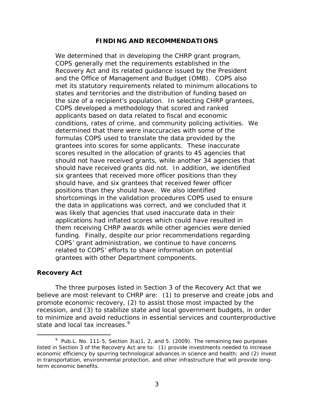#### **FINDING AND RECOMMENDATIONS**

<span id="page-12-0"></span>We determined that in developing the CHRP grant program, COPS generally met the requirements established in the Recovery Act and its related guidance issued by the President and the Office of Management and Budget (OMB). COPS also met its statutory requirements related to minimum allocations to states and territories and the distribution of funding based on the size of a recipient's population. In selecting CHRP grantees, COPS developed a methodology that scored and ranked applicants based on data related to fiscal and economic conditions, rates of crime, and community policing activities. We determined that there were inaccuracies with some of the formulas COPS used to translate the data provided by the grantees into scores for some applicants. These inaccurate scores resulted in the allocation of grants to 45 agencies that should not have received grants, while another 34 agencies that should have received grants did not. In addition, we identified six grantees that received more officer positions than they should have, and six grantees that received fewer officer positions than they should have. We also identified shortcomings in the validation procedures COPS used to ensure the data in applications was correct, and we concluded that it was likely that agencies that used inaccurate data in their applications had inflated scores which could have resulted in them receiving CHRP awards while other agencies were denied funding. Finally, despite our prior recommendations regarding COPS' grant administration, we continue to have concerns related to COPS' efforts to share information on potential grantees with other Department components.

#### **Recovery Act**

 $\overline{a}$ 

state and local tax increases.<sup>9</sup> The three purposes listed in Section 3 of the Recovery Act that we believe are most relevant to CHRP are: (1) to preserve and create jobs and promote economic recovery, (2) to assist those most impacted by the recession, and (3) to stabilize state and local government budgets, in order to minimize and avoid reductions in essential services and counterproductive

<sup>&</sup>lt;sup>9</sup> Pub.L. No. 111-5, Section 3(a)1, 2, and 5. (2009). The remaining two purposes listed in Section 3 of the Recovery Act are to: (1) provide investments needed to increase economic efficiency by spurring technological advances in science and health; and (2) invest in transportation, environmental protection, and other infrastructure that will provide longterm economic benefits.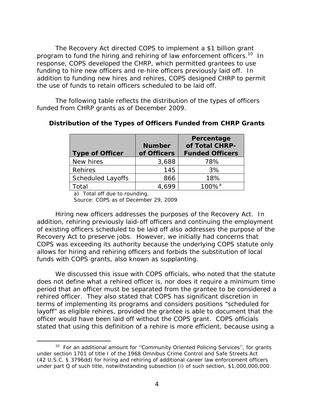The Recovery Act directed COPS to implement a \$1 billion grant program to fund the hiring and rehiring of law enforcement officers.<sup>10</sup> In response, COPS developed the CHRP, which permitted grantees to use funding to hire new officers and re-hire officers previously laid off. In addition to funding new hires and rehires, COPS designed CHRP to permit the use of funds to retain officers scheduled to be laid off.

 funded from CHRP grants as of December 2009. The following table reflects the distribution of the types of officers

| <b>Type of Officer</b>   | <b>Number</b><br>of Officers | Percentage<br>of Total CHRP-<br><b>Funded Officers</b> |
|--------------------------|------------------------------|--------------------------------------------------------|
| New hires                | 3,688                        | 78%                                                    |
| Rehires                  | 145                          | 3%                                                     |
| <b>Scheduled Layoffs</b> | 866                          | 18%                                                    |
| Total                    |                              | $100\%$ <sup>a</sup>                                   |

#### **Distribution of the Types of Officers Funded from CHRP Grants**

a) Total off due to rounding.

 $\overline{a}$ 

Source: COPS as of December 29, 2009

Hiring new officers addresses the purposes of the Recovery Act. In addition, rehiring previously laid-off officers and continuing the employment of existing officers scheduled to be laid off also addresses the purpose of the Recovery Act to preserve jobs. However, we initially had concerns that COPS was exceeding its authority because the underlying COPS statute only allows for hiring and rehiring officers and forbids the substitution of local funds with COPS grants, also known as supplanting.

We discussed this issue with COPS officials, who noted that the statute does not define what a rehired officer is, nor does it require a minimum time period that an officer must be separated from the grantee to be considered a rehired officer. They also stated that COPS has significant discretion in terms of implementing its programs and considers positions "scheduled for layoff" as eligible rehires, provided the grantee is able to document that the officer would have been laid off without the COPS grant. COPS officials stated that using this definition of a rehire is more efficient, because using a

<sup>&</sup>lt;sup>10</sup> For an additional amount for "Community Oriented Policing Services", for grants under section 1701 of title I of the 1968 Omnibus Crime Control and Safe Streets Act (42 U.S.C. § 3796dd) for hiring and rehiring of additional career law enforcement officers under part Q of such title, notwithstanding subsection (i) of such section, \$1,000,000,000.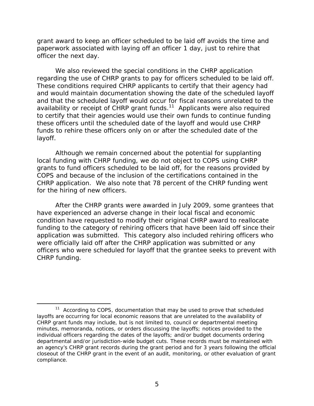grant award to keep an officer scheduled to be laid off avoids the time and paperwork associated with laying off an officer 1 day, just to rehire that officer the next day.

We also reviewed the special conditions in the CHRP application regarding the use of CHRP grants to pay for officers scheduled to be laid off. These conditions required CHRP applicants to certify that their agency had and would maintain documentation showing the date of the scheduled layoff and that the scheduled layoff would occur for fiscal reasons unrelated to the availability or receipt of CHRP grant funds.<sup>11</sup> Applicants were also required to certify that their agencies would use their own funds to continue funding these officers until the scheduled date of the layoff and would use CHRP funds to rehire these officers only on or after the scheduled date of the layoff.

Although we remain concerned about the potential for supplanting local funding with CHRP funding, we do not object to COPS using CHRP grants to fund officers scheduled to be laid off, for the reasons provided by COPS and because of the inclusion of the certifications contained in the CHRP application. We also note that 78 percent of the CHRP funding went for the hiring of new officers.

After the CHRP grants were awarded in July 2009, some grantees that have experienced an adverse change in their local fiscal and economic condition have requested to modify their original CHRP award to reallocate funding to the category of rehiring officers that have been laid off since their application was submitted. This category also included rehiring officers who were officially laid off after the CHRP application was submitted or any officers who were scheduled for layoff that the grantee seeks to prevent with CHRP funding.

compliance.  $11$  According to COPS, documentation that may be used to prove that scheduled layoffs are occurring for local economic reasons that are unrelated to the availability of CHRP grant funds may include, but is not limited to, council or departmental meeting minutes, memoranda, notices, or orders discussing the layoffs; notices provided to the individual officers regarding the dates of the layoffs; and/or budget documents ordering departmental and/or jurisdiction-wide budget cuts. These records must be maintained with an agency's CHRP grant records during the grant period and for 3 years following the official closeout of the CHRP grant in the event of an audit, monitoring, or other evaluation of grant compliance. 5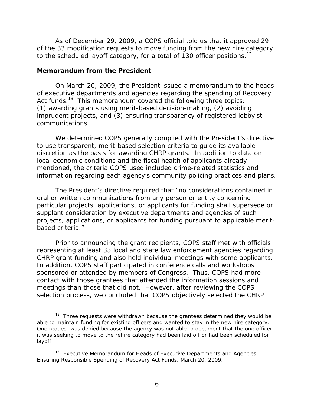<span id="page-15-0"></span>to the scheduled layoff category, for a total of 130 officer positions.<sup>12</sup> As of December 29, 2009, a COPS official told us that it approved 29 of the 33 modification requests to move funding from the new hire category

#### **Memorandum from the President**

 $\overline{a}$ 

On March 20, 2009, the President issued a memorandum to the heads of executive departments and agencies regarding the spending of Recovery Act funds.<sup>13</sup> This memorandum covered the following three topics: (1) awarding grants using merit-based decision-making, (2) avoiding imprudent projects, and (3) ensuring transparency of registered lobbyist communications.

We determined COPS generally complied with the President's directive to use transparent, merit-based selection criteria to guide its available discretion as the basis for awarding CHRP grants. In addition to data on local economic conditions and the fiscal health of applicants already mentioned, the criteria COPS used included crime-related statistics and information regarding each agency's community policing practices and plans.

The President's directive required that "no considerations contained in oral or written communications from any person or entity concerning particular projects, applications, or applicants for funding shall supersede or supplant consideration by executive departments and agencies of such projects, applications, or applicants for funding pursuant to applicable meritbased criteria."

Prior to announcing the grant recipients, COPS staff met with officials representing at least 33 local and state law enforcement agencies regarding CHRP grant funding and also held individual meetings with some applicants. In addition, COPS staff participated in conference calls and workshops sponsored or attended by members of Congress. Thus, COPS had more contact with those grantees that attended the information sessions and meetings than those that did not. However, after reviewing the COPS selection process, we concluded that COPS objectively selected the CHRP

 $12$  Three requests were withdrawn because the grantees determined they would be able to maintain funding for existing officers and wanted to stay in the new hire category. One request was denied because the agency was not able to document that the one officer it was seeking to move to the rehire category had been laid off or had been scheduled for layoff.

 $13$  Executive Memorandum for Heads of Executive Departments and Agencies: Ensuring Responsible Spending of Recovery Act Funds, March 20, 2009.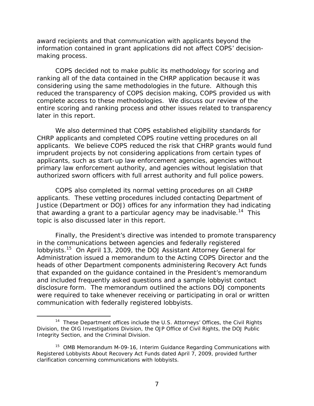award recipients and that communication with applicants beyond the information contained in grant applications did not affect COPS' decisionmaking process.

COPS decided not to make public its methodology for scoring and ranking all of the data contained in the CHRP application because it was considering using the same methodologies in the future. Although this reduced the transparency of COPS decision making, COPS provided us with complete access to these methodologies. We discuss our review of the entire scoring and ranking process and other issues related to transparency later in this report.

We also determined that COPS established eligibility standards for CHRP applicants and completed COPS routine vetting procedures on all applicants. We believe COPS reduced the risk that CHRP grants would fund imprudent projects by not considering applications from certain types of applicants, such as start-up law enforcement agencies, agencies without primary law enforcement authority, and agencies without legislation that authorized sworn officers with full arrest authority and full police powers.

COPS also completed its normal vetting procedures on all CHRP applicants. These vetting procedures included contacting Department of Justice (Department or DOJ) offices for any information they had indicating that awarding a grant to a particular agency may be inadvisable.<sup>14</sup> This topic is also discussed later in this report.

Finally, the President's directive was intended to promote transparency in the communications between agencies and federally registered lobbyists.15 On April 13, 2009, the DOJ Assistant Attorney General for Administration issued a memorandum to the Acting COPS Director and the heads of other Department components administering Recovery Act funds that expanded on the guidance contained in the President's memorandum and included frequently asked questions and a sample lobbyist contact disclosure form. The memorandum outlined the actions DOJ components were required to take whenever receiving or participating in oral or written communication with federally registered lobbyists.

Integrity Section, and the Criminal Division. <sup>14</sup> These Department offices include the U.S. Attorneys' Offices, the Civil Rights Division, the OIG Investigations Division, the OJP Office of Civil Rights, the DOJ Public

 $15$  OMB Memorandum M-09-16, Interim Guidance Regarding Communications with Registered Lobbyists About Recovery Act Funds dated April 7, 2009, provided further clarification concerning communications with lobbyists.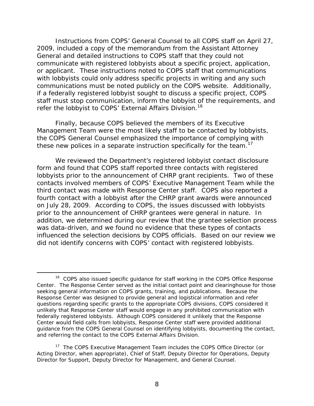refer the lobbyist to COPS' External Affairs Division.<sup>16</sup> Instructions from COPS' General Counsel to all COPS staff on April 27, 2009, included a copy of the memorandum from the Assistant Attorney General and detailed instructions to COPS staff that they could not communicate with registered lobbyists about a specific project, application, or applicant. These instructions noted to COPS staff that communications with lobbyists could only address specific projects in writing and any such communications must be noted publicly on the COPS website. Additionally, if a federally registered lobbyist sought to discuss a specific project, COPS staff must stop communication, inform the lobbyist of the requirements, and

these new polices in a separate instruction specifically for the team.<sup>17</sup> Finally, because COPS believed the members of its Executive Management Team were the most likely staff to be contacted by lobbyists, the COPS General Counsel emphasized the importance of complying with

We reviewed the Department's registered lobbyist contact disclosure form and found that COPS staff reported three contacts with registered lobbyists prior to the announcement of CHRP grant recipients. Two of these contacts involved members of COPS' Executive Management Team while the third contact was made with Response Center staff. COPS also reported a fourth contact with a lobbyist after the CHRP grant awards were announced on July 28, 2009. According to COPS, the issues discussed with lobbyists prior to the announcement of CHRP grantees were general in nature. In addition, we determined during our review that the grantee selection process was data-driven, and we found no evidence that these types of contacts influenced the selection decisions by COPS officials. Based on our review we did not identify concerns with COPS' contact with registered lobbyists.

 unlikely that Response Center staff would engage in any prohibited communication with <sup>16</sup> COPS also issued specific quidance for staff working in the COPS Office Response Center. The Response Center served as the initial contact point and clearinghouse for those seeking general information on COPS grants, training, and publications. Because the Response Center was designed to provide general and logistical information and refer questions regarding specific grants to the appropriate COPS divisions, COPS considered it federally registered lobbyists. Although COPS considered it unlikely that the Response Center would field calls from lobbyists, Response Center staff were provided additional guidance from the COPS General Counsel on identifying lobbyists, documenting the contact, and referring the contact to the COPS External Affairs Division.

<sup>&</sup>lt;sup>17</sup> The COPS Executive Management Team includes the COPS Office Director (or Acting Director, when appropriate), Chief of Staff, Deputy Director for Operations, Deputy Director for Support, Deputy Director for Management, and General Counsel.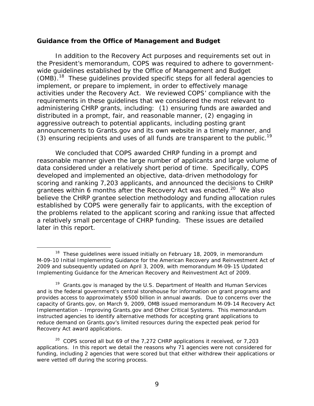#### <span id="page-18-0"></span>**Guidance from the Office of Management and Budget**

(3) ensuring recipients and uses of all funds are transparent to the public.<sup>19</sup> In addition to the Recovery Act purposes and requirements set out in the President's memorandum, COPS was required to adhere to governmentwide guidelines established by the Office of Management and Budget (OMB).18 These guidelines provided specific steps for all federal agencies to implement, or prepare to implement, in order to effectively manage activities under the Recovery Act. We reviewed COPS' compliance with the requirements in these guidelines that we considered the most relevant to administering CHRP grants, including: (1) ensuring funds are awarded and distributed in a prompt, fair, and reasonable manner, (2) engaging in aggressive outreach to potential applicants, including posting grant announcements to Grants.gov and its own website in a timely manner, and

We concluded that COPS awarded CHRP funding in a prompt and reasonable manner given the large number of applicants and large volume of data considered under a relatively short period of time. Specifically, COPS developed and implemented an objective, data-driven methodology for scoring and ranking 7,203 applicants, and announced the decisions to CHRP grantees within 6 months after the Recovery Act was enacted.<sup>20</sup> We also believe the CHRP grantee selection methodology and funding allocation rules established by COPS were generally fair to applicants, with the exception of the problems related to the applicant scoring and ranking issue that affected a relatively small percentage of CHRP funding. These issues are detailed later in this report.

<sup>&</sup>lt;sup>18</sup> These quidelines were issued initially on February 18, 2009, in memorandum M-09-10 Initial Implementing Guidance for the American Recovery and Reinvestment Act of 2009 and subsequently updated on April 3, 2009, with memorandum M-09-15 Updated Implementing Guidance for the American Recovery and Reinvestment Act of 2009.

 Implementation – Improving Grants.gov and Other Critical Systems. This memorandum  $19$  Grants.gov is managed by the U.S. Department of Health and Human Services and is the federal government's central storehouse for information on grant programs and provides access to approximately \$500 billion in annual awards. Due to concerns over the capacity of Grants.gov, on March 9, 2009, OMB issued memorandum M-09-14 Recovery Act instructed agencies to identify alternative methods for accepting grant applications to reduce demand on Grants.gov's limited resources during the expected peak period for Recovery Act award applications.

 $20$  COPS scored all but 69 of the 7,272 CHRP applications it received, or 7,203 applications. In this report we detail the reasons why 71 agencies were not considered for funding, including 2 agencies that were scored but that either withdrew their applications or were vetted off during the scoring process.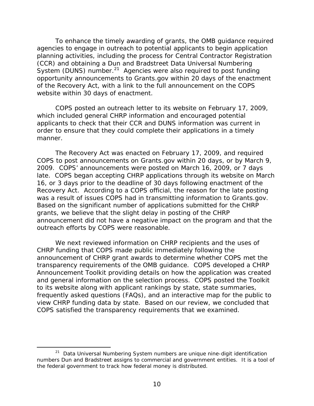To enhance the timely awarding of grants, the OMB guidance required agencies to engage in outreach to potential applicants to begin application planning activities, including the process for Central Contractor Registration (CCR) and obtaining a Dun and Bradstreet Data Universal Numbering System (DUNS) number.<sup>21</sup> Agencies were also required to post funding opportunity announcements to Grants.gov within 20 days of the enactment of the Recovery Act, with a link to the full announcement on the COPS website within 30 days of enactment.

COPS posted an outreach letter to its website on February 17, 2009, which included general CHRP information and encouraged potential applicants to check that their CCR and DUNS information was current in order to ensure that they could complete their applications in a timely manner.

outreach efforts by COPS were reasonable. The Recovery Act was enacted on February 17, 2009, and required COPS to post announcements on Grants.gov within 20 days, or by March 9, 2009. COPS' announcements were posted on March 16, 2009, or 7 days late. COPS began accepting CHRP applications through its website on March 16, or 3 days prior to the deadline of 30 days following enactment of the Recovery Act. According to a COPS official, the reason for the late posting was a result of issues COPS had in transmitting information to Grants.gov. Based on the significant number of applications submitted for the CHRP grants, we believe that the slight delay in posting of the CHRP announcement did not have a negative impact on the program and that the

We next reviewed information on CHRP recipients and the uses of CHRP funding that COPS made public immediately following the announcement of CHRP grant awards to determine whether COPS met the transparency requirements of the OMB guidance. COPS developed a CHRP Announcement Toolkit providing details on how the application was created and general information on the selection process. COPS posted the Toolkit to its website along with applicant rankings by state, state summaries, frequently asked questions (FAQs), and an interactive map for the public to view CHRP funding data by state. Based on our review, we concluded that COPS satisfied the transparency requirements that we examined.

 $\overline{a}$ 

<sup>&</sup>lt;sup>21</sup> Data Universal Numbering System numbers are unique nine-digit identification numbers Dun and Bradstreet assigns to commercial and government entities. It is a tool of the federal government to track how federal money is distributed.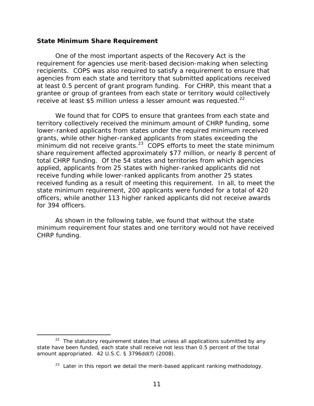#### <span id="page-20-0"></span> **State Minimum Share Requirement**

receive at least \$5 million unless a lesser amount was requested. $^{22}$ One of the most important aspects of the Recovery Act is the requirement for agencies use merit-based decision-making when selecting recipients. COPS was also required to satisfy a requirement to ensure that agencies from each state and territory that submitted applications received at least 0.5 percent of grant program funding. For CHRP, this meant that a grantee or group of grantees from each state or territory would collectively

We found that for COPS to ensure that grantees from each state and territory collectively received the minimum amount of CHRP funding, some lower-ranked applicants from states under the required minimum received grants, while other higher-ranked applicants from states exceeding the minimum did not receive grants.<sup>23</sup> COPS efforts to meet the state minimum share requirement affected approximately \$77 million, or nearly 8 percent of total CHRP funding. Of the 54 states and territories from which agencies applied, applicants from 25 states with higher-ranked applicants did not receive funding while lower-ranked applicants from another 25 states received funding as a result of meeting this requirement. In all, to meet the state minimum requirement, 200 applicants were funded for a total of 420 officers, while another 113 higher ranked applicants did not receive awards for 394 officers.

As shown in the following table, we found that without the state minimum requirement four states and one territory would not have received CHRP funding.

<sup>-</sup> $22$  The statutory requirement states that unless all applications submitted by any state have been funded, each state shall receive not less than 0.5 percent of the total amount appropriated. 42 U.S.C. § 3796dd(f) (2008).

 $23$  Later in this report we detail the merit-based applicant ranking methodology.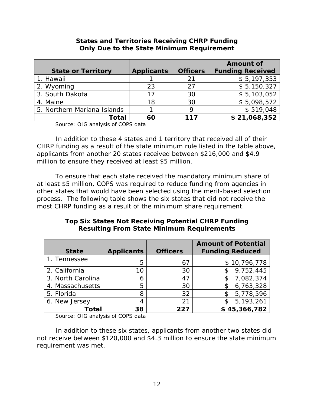|                             |                   |                 | <b>Amount of</b>        |
|-----------------------------|-------------------|-----------------|-------------------------|
| <b>State or Territory</b>   | <b>Applicants</b> | <b>Officers</b> | <b>Funding Received</b> |
| 1. Hawaii                   |                   | 21              | \$5,197,353             |
| 2. Wyoming                  | 23                | 27              | \$5,150,327             |
| 3. South Dakota             |                   | 30              | \$5,103,052             |
| 4. Maine                    | 18                | 30              | \$5,098,572             |
| 5. Northern Mariana Islands |                   |                 | \$519,048               |
| Total                       | 60                | 117             | \$21,068,352            |

# **States and Territories Receiving CHRP Funding Only Due to the State Minimum Requirement**

Source: OIG analysis of COPS data

In addition to these 4 states and 1 territory that received all of their CHRP funding as a result of the state minimum rule listed in the table above, applicants from another 20 states received between \$216,000 and \$4.9 million to ensure they received at least \$5 million.

To ensure that each state received the mandatory minimum share of at least \$5 million, COPS was required to reduce funding from agencies in other states that would have been selected using the merit-based selection process. The following table shows the six states that did not receive the most CHRP funding as a result of the minimum share requirement.

# **Top Six States Not Receiving Potential CHRP Funding Resulting From State Minimum Requirements**

| <b>State</b>      | <b>Applicants</b> | <b>Officers</b> | <b>Amount of Potential</b><br><b>Funding Reduced</b> |
|-------------------|-------------------|-----------------|------------------------------------------------------|
| 1. Tennessee      | 5                 | 67              | \$10,796,778                                         |
| 2. California     | 10                | 30              | 9,752,445                                            |
| 3. North Carolina | 6                 | 47              | 7,082,374                                            |
| 4. Massachusetts  | 5                 | 30              | 6,763,328                                            |
| 5. Florida        | 8                 | 32              | 5,778,596<br>\$                                      |
| 6. New Jersey     | 4                 | 21              | 5,193,261<br>\$                                      |
| Total             | 38                | つつフ             | \$45,366,782                                         |

Source: OIG analysis of COPS data

In addition to these six states, applicants from another two states did not receive between \$120,000 and \$4.3 million to ensure the state minimum requirement was met.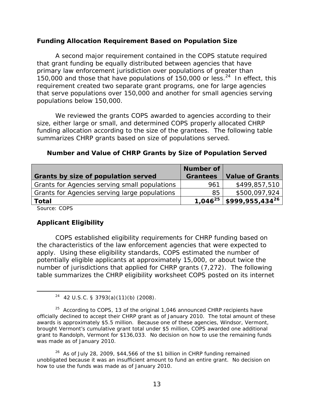#### **Funding Allocation Requirement Based on Population Size**

A second major requirement contained in the COPS statute required that grant funding be equally distributed between agencies that have primary law enforcement jurisdiction over populations of greater than 150,000 and those that have populations of  $150,000$  or less.<sup>24</sup> In effect, this requirement created two separate grant programs, one for large agencies that serve populations over 150,000 and another for small agencies serving populations below 150,000.

We reviewed the grants COPS awarded to agencies according to their size, either large or small, and determined COPS properly allocated CHRP funding allocation according to the size of the grantees. The following table summarizes CHRP grants based on size of populations served.

| <b>Grants by size of population served</b>    | Number of<br><b>Grantees</b> | <b>Value of Grants</b> |
|-----------------------------------------------|------------------------------|------------------------|
| Grants for Agencies serving small populations | 961                          | \$499,857,510          |
| Grants for Agencies serving large populations | 85                           | \$500,097,924          |
| Total                                         | $1.046^{25}$                 | $$999,955,434^{26}$    |

#### **Number and Value of CHRP Grants by Size of Population Served**

Source: COPS

 $\overline{a}$ 

# **Applicant Eligibility**

COPS established eligibility requirements for CHRP funding based on the characteristics of the law enforcement agencies that were expected to apply. Using these eligibility standards, COPS estimated the number of potentially eligible applicants at approximately 15,000, or about twice the number of jurisdictions that applied for CHRP grants (7,272). The following table summarizes the CHRP eligibility worksheet COPS posted on its internet

 $24$  42 U.S.C. § 3793(a)(11)(b) (2008).

 $25$  According to COPS, 13 of the original 1,046 announced CHRP recipients have officially declined to accept their CHRP grant as of January 2010. The total amount of these awards is approximately \$5.5 million. Because one of these agencies, Windsor, Vermont, brought Vermont's cumulative grant total under \$5 million, COPS awarded one additional grant to Randolph, Vermont for \$136,033. No decision on how to use the remaining funds was made as of January 2010.

<sup>&</sup>lt;sup>26</sup> As of July 28, 2009, \$44,566 of the \$1 billion in CHRP funding remained unobligated because it was an insufficient amount to fund an entire grant. No decision on how to use the funds was made as of January 2010.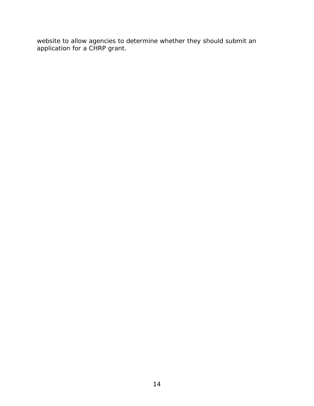website to allow agencies to determine whether they should submit an application for a CHRP grant.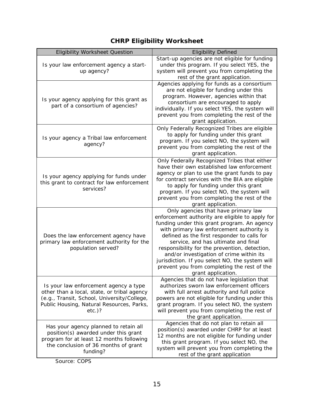# **CHRP Eligibility Worksheet**

| <b>Eligibility Worksheet Question</b>                                                                                                                                                         | <b>Eligibility Defined</b>                                                                                                                                                                                                                                                                                                                                                                                                                                                                    |
|-----------------------------------------------------------------------------------------------------------------------------------------------------------------------------------------------|-----------------------------------------------------------------------------------------------------------------------------------------------------------------------------------------------------------------------------------------------------------------------------------------------------------------------------------------------------------------------------------------------------------------------------------------------------------------------------------------------|
| Is your law enforcement agency a start-<br>up agency?                                                                                                                                         | Start-up agencies are not eligible for funding<br>under this program. If you select YES, the<br>system will prevent you from completing the<br>rest of the grant application.                                                                                                                                                                                                                                                                                                                 |
| Is your agency applying for this grant as<br>part of a consortium of agencies?                                                                                                                | Agencies applying for funds as a consortium<br>are not eligible for funding under this<br>program. However, agencies within that<br>consortium are encouraged to apply<br>individually. If you select YES, the system will<br>prevent you from completing the rest of the<br>grant application.                                                                                                                                                                                               |
| Is your agency a Tribal law enforcement<br>agency?                                                                                                                                            | Only Federally Recognized Tribes are eligible<br>to apply for funding under this grant<br>program. If you select NO, the system will<br>prevent you from completing the rest of the<br>grant application.                                                                                                                                                                                                                                                                                     |
| Is your agency applying for funds under<br>this grant to contract for law enforcement<br>services?                                                                                            | Only Federally Recognized Tribes that either<br>have their own established law enforcement<br>agency or plan to use the grant funds to pay<br>for contract services with the BIA are eligible<br>to apply for funding under this grant<br>program. If you select NO, the system will<br>prevent you from completing the rest of the<br>grant application.                                                                                                                                     |
| Does the law enforcement agency have<br>primary law enforcement authority for the<br>population served?                                                                                       | Only agencies that have primary law<br>enforcement authority are eligible to apply for<br>funding under this grant program. An agency<br>with primary law enforcement authority is<br>defined as the first responder to calls for<br>service, and has ultimate and final<br>responsibility for the prevention, detection,<br>and/or investigation of crime within its<br>jurisdiction. If you select NO, the system will<br>prevent you from completing the rest of the<br>grant application. |
| Is your law enforcement agency a type<br>other than a local, state, or tribal agency<br>(e.g., Transit, School, University/College,<br>Public Housing, Natural Resources, Parks,<br>$etc.$ )? | Agencies that do not have legislation that<br>authorizes sworn law enforcement officers<br>with full arrest authority and full police<br>powers are not eligible for funding under this<br>grant program. If you select NO, the system<br>will prevent you from completing the rest of<br>the grant application.                                                                                                                                                                              |
| Has your agency planned to retain all<br>position(s) awarded under this grant<br>program for at least 12 months following<br>the conclusion of 36 months of grant<br>funding?                 | Agencies that do not plan to retain all<br>position(s) awarded under CHRP for at least<br>12 months are not eligible for funding under<br>this grant program. If you select NO, the<br>system will prevent you from completing the<br>rest of the grant application                                                                                                                                                                                                                           |

Source: COPS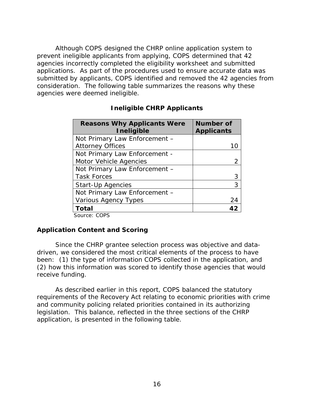Although COPS designed the CHRP online application system to prevent ineligible applicants from applying, COPS determined that 42 agencies incorrectly completed the eligibility worksheet and submitted applications. As part of the procedures used to ensure accurate data was submitted by applicants, COPS identified and removed the 42 agencies from consideration. The following table summarizes the reasons why these agencies were deemed ineligible.

| <b>Reasons Why Applicants Were</b><br><b>Ineligible</b> | <b>Number of</b><br><b>Applicants</b> |
|---------------------------------------------------------|---------------------------------------|
| Not Primary Law Enforcement -                           |                                       |
| <b>Attorney Offices</b>                                 |                                       |
| Not Primary Law Enforcement -                           |                                       |
| <b>Motor Vehicle Agencies</b>                           |                                       |
| Not Primary Law Enforcement -                           |                                       |
| <b>Task Forces</b>                                      |                                       |
| <b>Start-Up Agencies</b>                                |                                       |
| Not Primary Law Enforcement -                           |                                       |
| <b>Various Agency Types</b>                             | 24                                    |
| <b>Total</b><br>Caussa, CODC                            |                                       |

# **Ineligible CHRP Applicants**

Source: COPS

# **Application Content and Scoring**

Since the CHRP grantee selection process was objective and datadriven, we considered the most critical elements of the process to have been: (1) the type of information COPS collected in the application, and (2) how this information was scored to identify those agencies that would receive funding.

As described earlier in this report, COPS balanced the statutory requirements of the Recovery Act relating to economic priorities with crime and community policing related priorities contained in its authorizing legislation. This balance, reflected in the three sections of the CHRP application, is presented in the following table.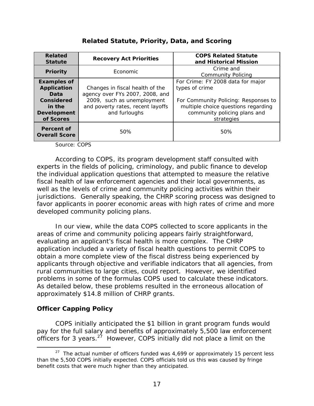#### **Related Statute Recovery Act Priorities COPS Related Statute and Historical Mission Priority Crime and Crime and Crime and Crime and Crime and Crime and Crime and Crime and Crime and Crime and Crime and Crime and Crime and Crime and Crime and Crime and Crime and Crime and Crime and Crime and Crime and** Community Policing **Examples of Application Data Considered in the Development of Scores**  Changes in fiscal health of the agency over FYs 2007, 2008, and 2009, such as unemployment and poverty rates, recent layoffs and furloughs For Crime: FY 2008 data for major types of crime For Community Policing: Responses to multiple choice questions regarding community policing plans and strategies **Percent of Overall Score 50%** 50% 50%

# **Related Statute, Priority, Data, and Scoring**

Source: COPS

According to COPS, its program development staff consulted with experts in the fields of policing, criminology, and public finance to develop the individual application questions that attempted to measure the relative fiscal health of law enforcement agencies and their local governments, as well as the levels of crime and community policing activities within their jurisdictions. Generally speaking, the CHRP scoring process was designed to favor applicants in poorer economic areas with high rates of crime and more developed community policing plans.

In our view, while the data COPS collected to score applicants in the areas of crime and community policing appears fairly straightforward, evaluating an applicant's fiscal health is more complex. The CHRP application included a variety of fiscal health questions to permit COPS to obtain a more complete view of the fiscal distress being experienced by applicants through objective and verifiable indicators that all agencies, from rural communities to large cities, could report. However, we identified problems in some of the formulas COPS used to calculate these indicators. As detailed below, these problems resulted in the erroneous allocation of approximately \$14.8 million of CHRP grants.

# **Officer Capping Policy**

COPS initially anticipated the \$1 billion in grant program funds would pay for the full salary and benefits of approximately 5,500 law enforcement officers for 3 years. $2^7$  However, COPS initially did not place a limit on the

 $\overline{a}$ <sup>27</sup> The actual number of officers funded was  $4,699$  or approximately 15 percent less than the 5,500 COPS initially expected. COPS officials told us this was caused by fringe benefit costs that were much higher than they anticipated.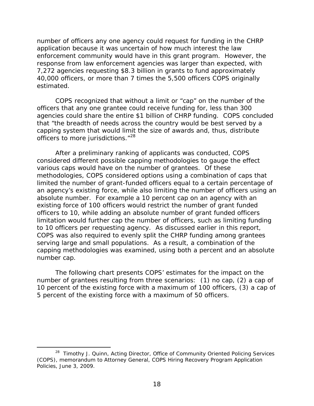number of officers any one agency could request for funding in the CHRP application because it was uncertain of how much interest the law enforcement community would have in this grant program. However, the response from law enforcement agencies was larger than expected, with 7,272 agencies requesting \$8.3 billion in grants to fund approximately 40,000 officers, or more than 7 times the 5,500 officers COPS originally estimated.

officers to more jurisdictions."<sup>28</sup> COPS recognized that without a limit or "cap" on the number of the officers that any one grantee could receive funding for, less than 300 agencies could share the entire \$1 billion of CHRP funding. COPS concluded that "the breadth of needs across the country would be best served by a capping system that would limit the size of awards and, thus, distribute

After a preliminary ranking of applicants was conducted, COPS considered different possible capping methodologies to gauge the effect various caps would have on the number of grantees. Of these methodologies, COPS considered options using a combination of caps that limited the number of grant-funded officers equal to a certain percentage of an agency's existing force, while also limiting the number of officers using an absolute number. For example a 10 percent cap on an agency with an existing force of 100 officers would restrict the number of grant funded officers to 10, while adding an absolute number of grant funded officers limitation would further cap the number of officers, such as limiting funding to 10 officers per requesting agency. As discussed earlier in this report, COPS was also required to evenly split the CHRP funding among grantees serving large and small populations. As a result, a combination of the capping methodologies was examined, using both a percent and an absolute number cap.

The following chart presents COPS' estimates for the impact on the number of grantees resulting from three scenarios: (1) no cap, (2) a cap of 10 percent of the existing force with a maximum of 100 officers, (3) a cap of 5 percent of the existing force with a maximum of 50 officers.

 $\overline{a}$ 

<sup>&</sup>lt;sup>28</sup> Timothy J. Quinn, Acting Director, Office of Community Oriented Policing Services (COPS), memorandum to Attorney General, COPS Hiring Recovery Program Application Policies, June 3, 2009.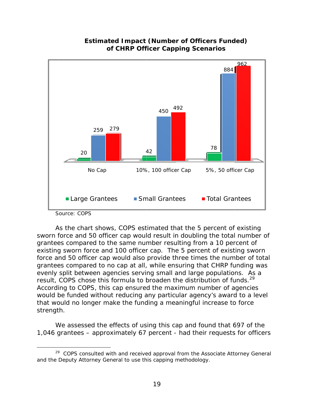

# **Estimated Impact (Number of Officers Funded) of CHRP Officer Capping Scenarios**

 $\overline{a}$ 

result, COPS chose this formula to broaden the distribution of funds.<sup>29</sup> As the chart shows, COPS estimated that the 5 percent of existing sworn force and 50 officer cap would result in doubling the total number of grantees compared to the same number resulting from a 10 percent of existing sworn force and 100 officer cap. The 5 percent of existing sworn force and 50 officer cap would also provide three times the number of total grantees compared to no cap at all, while ensuring that CHRP funding was evenly split between agencies serving small and large populations. As a According to COPS, this cap ensured the maximum number of agencies would be funded without reducing any particular agency's award to a level that would no longer make the funding a meaningful increase to force strength.

We assessed the effects of using this cap and found that 697 of the 1,046 grantees – approximately 67 percent - had their requests for officers

Source: COPS

<sup>&</sup>lt;sup>29</sup> COPS consulted with and received approval from the Associate Attorney General and the Deputy Attorney General to use this capping methodology.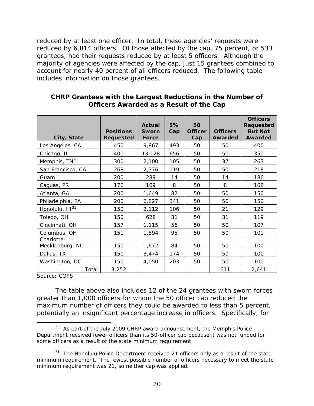reduced by at least one officer. In total, these agencies' requests were reduced by 6,814 officers. Of those affected by the cap, 75 percent, or 533 grantees, had their requests reduced by at least 5 officers. Although the majority of agencies were affected by the cap, just 15 grantees combined to account for nearly 40 percent of all officers reduced. The following table includes information on those grantees.

| City, State                   | <b>Positions</b><br><b>Requested</b> | <b>Actual</b><br>Sworn<br>Force | 5%<br>Cap | 50<br><b>Officer</b><br>Cap | <b>Officers</b><br>Awarded | <b>Officers</b><br><b>Requested</b><br><b>But Not</b><br><b>Awarded</b> |
|-------------------------------|--------------------------------------|---------------------------------|-----------|-----------------------------|----------------------------|-------------------------------------------------------------------------|
| Los Angeles, CA               | 450                                  | 9,867                           | 493       | 50                          | 50                         | 400                                                                     |
| Chicago, IL                   | 400                                  | 13,128                          | 656       | 50                          | 50                         | 350                                                                     |
| Memphis, TN <sup>30</sup>     | 300                                  | 2,100                           | 105       | 50                          | 37                         | 263                                                                     |
| San Francisco, CA             | 268                                  | 2,376                           | 119       | 50                          | 50                         | 218                                                                     |
| Guam                          | 200                                  | 289                             | 14        | 50                          | 14                         | 186                                                                     |
| Caguas, PR                    | 176                                  | 169                             | 8         | 50                          | 8                          | 168                                                                     |
| Atlanta, GA                   | 200                                  | 1,649                           | 82        | 50                          | 50                         | 150                                                                     |
| Philadelphia, PA              | 200                                  | 6,827                           | 341       | 50                          | 50                         | 150                                                                     |
| Honolulu, HI <sup>31</sup>    | 150                                  | 2,112                           | 106       | 50                          | 21                         | 129                                                                     |
| Toledo, OH                    | 150                                  | 628                             | 31        | 50                          | 31                         | 119                                                                     |
| Cincinnati, OH                | 157                                  | 1,115                           | 56        | 50                          | 50                         | 107                                                                     |
| Columbus, OH                  | 151                                  | 1,894                           | 95        | 50                          | 50                         | 101                                                                     |
| Charlotte-<br>Mecklenburg, NC | 150                                  | 1,672                           | 84        | 50                          | 50                         | 100                                                                     |
| Dallas, TX                    | 150                                  | 3,474                           | 174       | 50                          | 50                         | 100                                                                     |
| Washington, DC                | 150                                  | 4,050                           | 203       | 50                          | 50                         | 100                                                                     |
| Total                         | 3,252                                |                                 |           |                             | 611                        | 2,641                                                                   |

# **CHRP Grantees with the Largest Reductions in the Number of Officers Awarded as a Result of the Cap**

Source: COPS

 $\overline{a}$ 

The table above also includes 12 of the 24 grantees with sworn forces greater than 1,000 officers for whom the 50 officer cap reduced the maximum number of officers they could be awarded to less than 5 percent, potentially an insignificant percentage increase in officers. Specifically, for

<sup>&</sup>lt;sup>30</sup> As part of the July 2009 CHRP award announcement, the Memphis Police Department received fewer officers than its 50-officer cap because it was not funded for some officers as a result of the state minimum requirement.

 $31$  The Honolulu Police Department received 21 officers only as a result of the state minimum requirement. The fewest possible number of officers necessary to meet the state minimum requirement was 21, so neither cap was applied.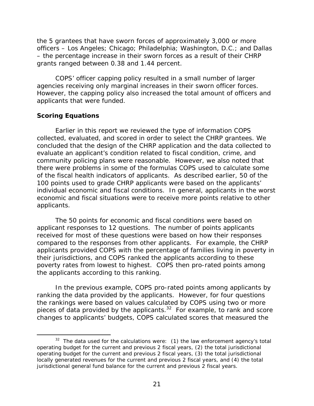<span id="page-30-0"></span>the 5 grantees that have sworn forces of approximately 3,000 or more officers – Los Angeles; Chicago; Philadelphia; Washington, D.C.; and Dallas – the percentage increase in their sworn forces as a result of their CHRP grants ranged between 0.38 and 1.44 percent.

COPS' officer capping policy resulted in a small number of larger agencies receiving only marginal increases in their sworn officer forces. However, the capping policy also increased the total amount of officers and applicants that were funded.

# **Scoring Equations**

-

Earlier in this report we reviewed the type of information COPS collected, evaluated, and scored in order to select the CHRP grantees. We concluded that the design of the CHRP application and the data collected to evaluate an applicant's condition related to fiscal condition, crime, and community policing plans were reasonable. However, we also noted that there were problems in some of the formulas COPS used to calculate some of the fiscal health indicators of applicants. As described earlier, 50 of the 100 points used to grade CHRP applicants were based on the applicants' individual economic and fiscal conditions. In general, applicants in the worst economic and fiscal situations were to receive more points relative to other applicants.

The 50 points for economic and fiscal conditions were based on applicant responses to 12 questions. The number of points applicants received for most of these questions were based on how their responses compared to the responses from other applicants. For example, the CHRP applicants provided COPS with the percentage of families living in poverty in their jurisdictions, and COPS ranked the applicants according to these poverty rates from lowest to highest. COPS then pro-rated points among the applicants according to this ranking.

In the previous example, COPS pro-rated points among applicants by ranking the data provided by the applicants. However, for four questions the rankings were based on values calculated by COPS using two or more pieces of data provided by the applicants. $32$  For example, to rank and score changes to applicants' budgets, COPS calculated scores that measured the

 $32$  The data used for the calculations were: (1) the law enforcement agency's total operating budget for the current and previous 2 fiscal years, (2) the total jurisdictional operating budget for the current and previous 2 fiscal years, (3) the total jurisdictional locally generated revenues for the current and previous 2 fiscal years, and (4) the total jurisdictional general fund balance for the current and previous 2 fiscal years.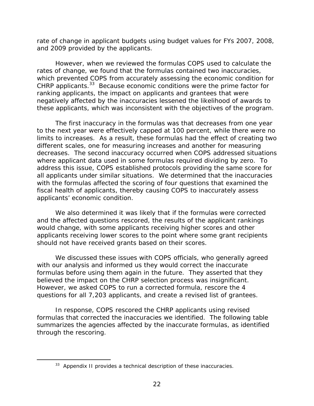rate of change in applicant budgets using budget values for FYs 2007, 2008, and 2009 provided by the applicants.

However, when we reviewed the formulas COPS used to calculate the rates of change, we found that the formulas contained two inaccuracies, which prevented COPS from accurately assessing the economic condition for CHRP applicants. $33$  Because economic conditions were the prime factor for ranking applicants, the impact on applicants and grantees that were negatively affected by the inaccuracies lessened the likelihood of awards to these applicants, which was inconsistent with the objectives of the program.

 where applicant data used in some formulas required dividing by zero. To The first inaccuracy in the formulas was that decreases from one year to the next year were effectively capped at 100 percent, while there were no limits to increases. As a result, these formulas had the effect of creating two different scales, one for measuring increases and another for measuring decreases. The second inaccuracy occurred when COPS addressed situations address this issue, COPS established protocols providing the same score for all applicants under similar situations. We determined that the inaccuracies with the formulas affected the scoring of four questions that examined the fiscal health of applicants, thereby causing COPS to inaccurately assess applicants' economic condition.

should not have received grants based on their scores. We also determined it was likely that if the formulas were corrected and the affected questions rescored, the results of the applicant rankings would change, with some applicants receiving higher scores and other applicants receiving lower scores to the point where some grant recipients

We discussed these issues with COPS officials, who generally agreed with our analysis and informed us they would correct the inaccurate formulas before using them again in the future. They asserted that they believed the impact on the CHRP selection process was insignificant. However, we asked COPS to run a corrected formula, rescore the 4 questions for all 7,203 applicants, and create a revised list of grantees.

In response, COPS rescored the CHRP applicants using revised formulas that corrected the inaccuracies we identified. The following table summarizes the agencies affected by the inaccurate formulas, as identified through the rescoring.

<sup>&</sup>lt;sup>33</sup> Appendix II provides a technical description of these inaccuracies.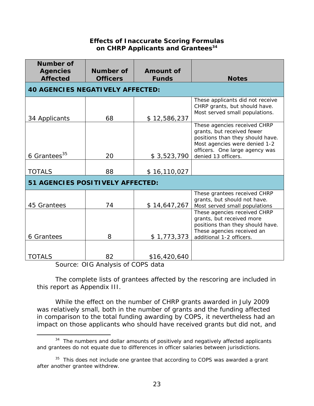# **Effects of Inaccurate Scoring Formulas on CHRP Applicants and Grantees**<sup>34</sup>

| Number of<br><b>Agencies</b>                                                                                  | Number of | <b>Amount of</b> |                                                                                                                                                                                          |  |  |
|---------------------------------------------------------------------------------------------------------------|-----------|------------------|------------------------------------------------------------------------------------------------------------------------------------------------------------------------------------------|--|--|
| <b>Affected</b><br><b>Funds</b><br><b>Officers</b><br><b>Notes</b><br><b>40 AGENCIES NEGATIVELY AFFECTED:</b> |           |                  |                                                                                                                                                                                          |  |  |
| 34 Applicants                                                                                                 | 68        | \$12,586,237     | These applicants did not receive<br>CHRP grants, but should have.<br>Most served small populations.                                                                                      |  |  |
| 6 Grantees <sup>35</sup>                                                                                      | 20        | \$3,523,790      | These agencies received CHRP<br>grants, but received fewer<br>positions than they should have.<br>Most agencies were denied 1-2<br>officers. One large agency was<br>denied 13 officers. |  |  |
| <b>TOTALS</b>                                                                                                 | 88        | \$16,110,027     |                                                                                                                                                                                          |  |  |
| 51 AGENCIES POSITIVELY AFFECTED:                                                                              |           |                  |                                                                                                                                                                                          |  |  |
| 45 Grantees                                                                                                   | 74        | \$14,647,267     | These grantees received CHRP<br>grants, but should not have.<br>Most served small populations                                                                                            |  |  |
| 6 Grantees                                                                                                    | 8         | \$1,773,373      | These agencies received CHRP<br>grants, but received more<br>positions than they should have.<br>These agencies received an<br>additional 1-2 officers.                                  |  |  |
| TOTALS                                                                                                        | 82        | \$16,420,640     |                                                                                                                                                                                          |  |  |

Source: OIG Analysis of COPS data

 $\overline{a}$ 

The complete lists of grantees affected by the rescoring are included in this report as Appendix III.

While the effect on the number of CHRP grants awarded in July 2009 was relatively small, both in the number of grants and the funding affected in comparison to the total funding awarding by COPS, it nevertheless had an impact on those applicants who should have received grants but did not, and

 $34$  The numbers and dollar amounts of positively and negatively affected applicants and grantees do not equate due to differences in officer salaries between jurisdictions.

 $35$  This does not include one grantee that according to COPS was awarded a grant after another grantee withdrew.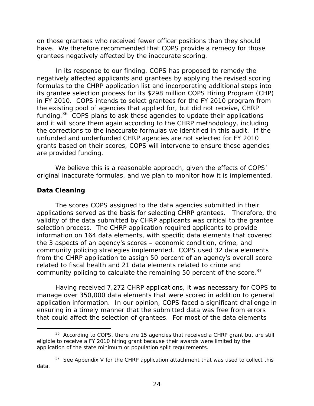<span id="page-33-0"></span>on those grantees who received fewer officer positions than they should have. We therefore recommended that COPS provide a remedy for those grantees negatively affected by the inaccurate scoring.

In its response to our finding, COPS has proposed to remedy the negatively affected applicants and grantees by applying the revised scoring formulas to the CHRP application list and incorporating additional steps into its grantee selection process for its \$298 million COPS Hiring Program (CHP) in FY 2010. COPS intends to select grantees for the FY 2010 program from the existing pool of agencies that applied for, but did not receive, CHRP funding.36 COPS plans to ask these agencies to update their applications and it will score them again according to the CHRP methodology, including the corrections to the inaccurate formulas we identified in this audit. If the unfunded and underfunded CHRP agencies are not selected for FY 2010 grants based on their scores, COPS will intervene to ensure these agencies are provided funding.

We believe this is a reasonable approach, given the effects of COPS' original inaccurate formulas, and we plan to monitor how it is implemented.

#### **Data Cleaning**

The scores COPS assigned to the data agencies submitted in their applications served as the basis for selecting CHRP grantees. Therefore, the validity of the data submitted by CHRP applicants was critical to the grantee selection process. The CHRP application required applicants to provide information on 164 data elements, with specific data elements that covered the 3 aspects of an agency's scores – economic condition, crime, and community policing strategies implemented. COPS used 32 data elements from the CHRP application to assign 50 percent of an agency's overall score related to fiscal health and 21 data elements related to crime and community policing to calculate the remaining 50 percent of the score.<sup>37</sup>

Having received 7,272 CHRP applications, it was necessary for COPS to manage over 350,000 data elements that were scored in addition to general application information. In our opinion, COPS faced a significant challenge in ensuring in a timely manner that the submitted data was free from errors that could affect the selection of grantees. For most of the data elements

<sup>-</sup><sup>36</sup> According to COPS, there are 15 agencies that received a CHRP grant but are still eligible to receive a FY 2010 hiring grant because their awards were limited by the application of the state minimum or population split requirements.

 $37$  See Appendix V for the CHRP application attachment that was used to collect this data.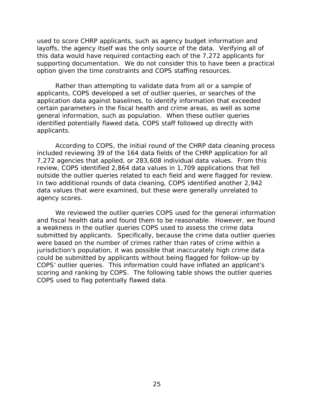used to score CHRP applicants, such as agency budget information and layoffs, the agency itself was the only source of the data. Verifying all of this data would have required contacting each of the 7,272 applicants for supporting documentation. We do not consider this to have been a practical option given the time constraints and COPS staffing resources.

Rather than attempting to validate data from all or a sample of applicants, COPS developed a set of outlier queries, or searches of the application data against baselines, to identify information that exceeded certain parameters in the fiscal health and crime areas, as well as some general information, such as population. When these outlier queries identified potentially flawed data, COPS staff followed up directly with applicants.

According to COPS, the initial round of the CHRP data cleaning process included reviewing 39 of the 164 data fields of the CHRP application for all 7,272 agencies that applied, or 283,608 individual data values. From this review, COPS identified 2,864 data values in 1,709 applications that fell outside the outlier queries related to each field and were flagged for review. In two additional rounds of data cleaning, COPS identified another 2,942 data values that were examined, but these were generally unrelated to agency scores.

We reviewed the outlier queries COPS used for the general information and fiscal health data and found them to be reasonable. However, we found a weakness in the outlier queries COPS used to assess the crime data submitted by applicants. Specifically, because the crime data outlier queries were based on the number of crimes rather than rates of crime within a jurisdiction's population, it was possible that inaccurately high crime data could be submitted by applicants without being flagged for follow-up by COPS' outlier queries. This information could have inflated an applicant's scoring and ranking by COPS. The following table shows the outlier queries COPS used to flag potentially flawed data.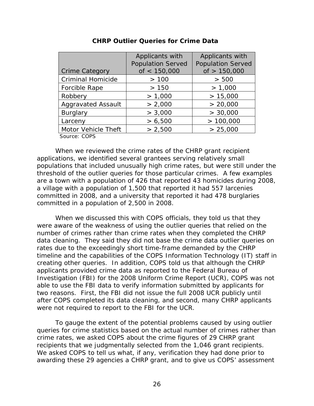|                           | Applicants with          | Applicants with          |
|---------------------------|--------------------------|--------------------------|
|                           | <b>Population Served</b> | <b>Population Served</b> |
| Crime Category            | of $< 150,000$           | of $> 150,000$           |
| <b>Criminal Homicide</b>  | >100                     | > 500                    |
| Forcible Rape             | >150                     | > 1,000                  |
| Robbery                   | > 1,000                  | > 15,000                 |
| <b>Aggravated Assault</b> | > 2,000                  | > 20,000                 |
| Burglary                  | > 3,000                  | > 30,000                 |
| Larceny                   | > 6,500                  | >100,000                 |
| Motor Vehicle Theft       | > 2,500                  | > 25,000                 |
| $C_{\text{AllICA}}$ CODC  |                          |                          |

#### **CHRP Outlier Queries for Crime Data**

Source: COPS

When we reviewed the crime rates of the CHRP grant recipient applications, we identified several grantees serving relatively small populations that included unusually high crime rates, but were still under the threshold of the outlier queries for those particular crimes. A few examples are a town with a population of 426 that reported 43 homicides during 2008, a village with a population of 1,500 that reported it had 557 larcenies committed in 2008, and a university that reported it had 478 burglaries committed in a population of 2,500 in 2008.

When we discussed this with COPS officials, they told us that they were aware of the weakness of using the outlier queries that relied on the number of crimes rather than crime rates when they completed the CHRP data cleaning. They said they did not base the crime data outlier queries on rates due to the exceedingly short time-frame demanded by the CHRP timeline and the capabilities of the COPS Information Technology (IT) staff in creating other queries. In addition, COPS told us that although the CHRP applicants provided crime data as reported to the Federal Bureau of Investigation (FBI) for the 2008 Uniform Crime Report (UCR), COPS was not able to use the FBI data to verify information submitted by applicants for two reasons. First, the FBI did not issue the full 2008 UCR publicly until after COPS completed its data cleaning, and second, many CHRP applicants were not required to report to the FBI for the UCR.

To gauge the extent of the potential problems caused by using outlier queries for crime statistics based on the actual number of crimes rather than crime rates, we asked COPS about the crime figures of 29 CHRP grant recipients that we judgmentally selected from the 1,046 grant recipients. We asked COPS to tell us what, if any, verification they had done prior to awarding these 29 agencies a CHRP grant, and to give us COPS' assessment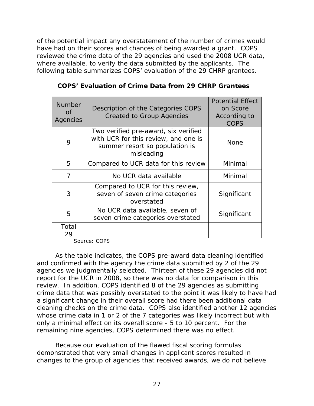of the potential impact any overstatement of the number of crimes would have had on their scores and chances of being awarded a grant. COPS reviewed the crime data of the 29 agencies and used the 2008 UCR data, where available, to verify the data submitted by the applicants. The following table summarizes COPS' evaluation of the 29 CHRP grantees.

| <b>Number</b><br>of<br>Agencies | Description of the Categories COPS<br><b>Created to Group Agencies</b>                                                       | <b>Potential Effect</b><br>on Score<br>According to<br><b>COPS</b> |
|---------------------------------|------------------------------------------------------------------------------------------------------------------------------|--------------------------------------------------------------------|
| 9                               | Two verified pre-award, six verified<br>with UCR for this review, and one is<br>summer resort so population is<br>misleading | <b>None</b>                                                        |
| 5                               | Compared to UCR data for this review                                                                                         | Minimal                                                            |
| 7                               | No UCR data available                                                                                                        | Minimal                                                            |
| 3                               | Compared to UCR for this review,<br>seven of seven crime categories<br>overstated                                            | Significant                                                        |
| 5                               | No UCR data available, seven of<br>seven crime categories overstated                                                         | Significant                                                        |
| Total<br>29                     |                                                                                                                              |                                                                    |

 **COPS' Evaluation of Crime Data from 29 CHRP Grantees** 

Source: COPS

As the table indicates, the COPS pre-award data cleaning identified and confirmed with the agency the crime data submitted by 2 of the 29 agencies we judgmentally selected. Thirteen of these 29 agencies did not report for the UCR in 2008, so there was no data for comparison in this review. In addition, COPS identified 8 of the 29 agencies as submitting crime data that was possibly overstated to the point it was likely to have had a significant change in their overall score had there been additional data cleaning checks on the crime data. COPS also identified another 12 agencies whose crime data in 1 or 2 of the 7 categories was likely incorrect but with only a minimal effect on its overall score - 5 to 10 percent. For the remaining nine agencies, COPS determined there was no effect.

Because our evaluation of the flawed fiscal scoring formulas demonstrated that very small changes in applicant scores resulted in changes to the group of agencies that received awards, we do not believe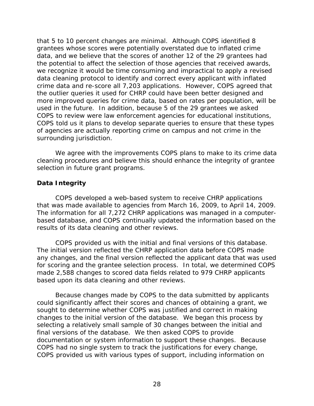that 5 to 10 percent changes are minimal. Although COPS identified 8 grantees whose scores were potentially overstated due to inflated crime data, and we believe that the scores of another 12 of the 29 grantees had the potential to affect the selection of those agencies that received awards, we recognize it would be time consuming and impractical to apply a revised data cleaning protocol to identify and correct every applicant with inflated crime data and re-score all 7,203 applications. However, COPS agreed that the outlier queries it used for CHRP could have been better designed and more improved queries for crime data, based on rates per population, will be used in the future. In addition, because 5 of the 29 grantees we asked COPS to review were law enforcement agencies for educational institutions, COPS told us it plans to develop separate queries to ensure that these types of agencies are actually reporting crime on campus and not crime in the surrounding jurisdiction.

We agree with the improvements COPS plans to make to its crime data cleaning procedures and believe this should enhance the integrity of grantee selection in future grant programs.

## **Data Integrity**

that was made available to agencies from March 16, 2009, to April 14, 2009. COPS developed a web-based system to receive CHRP applications The information for all 7,272 CHRP applications was managed in a computerbased database, and COPS continually updated the information based on the results of its data cleaning and other reviews.

COPS provided us with the initial and final versions of this database. The initial version reflected the CHRP application data before COPS made any changes, and the final version reflected the applicant data that was used for scoring and the grantee selection process. In total, we determined COPS made 2,588 changes to scored data fields related to 979 CHRP applicants based upon its data cleaning and other reviews.

Because changes made by COPS to the data submitted by applicants could significantly affect their scores and chances of obtaining a grant, we sought to determine whether COPS was justified and correct in making changes to the initial version of the database. We began this process by selecting a relatively small sample of 30 changes between the initial and final versions of the database. We then asked COPS to provide documentation or system information to support these changes. Because COPS had no single system to track the justifications for every change, COPS provided us with various types of support, including information on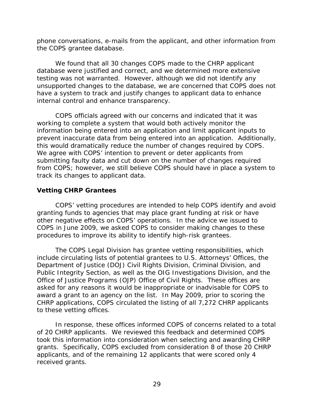phone conversations, e-mails from the applicant, and other information from the COPS grantee database.

We found that all 30 changes COPS made to the CHRP applicant database were justified and correct, and we determined more extensive testing was not warranted. However, although we did not identify any unsupported changes to the database, we are concerned that COPS does not have a system to track and justify changes to applicant data to enhance internal control and enhance transparency.

COPS officials agreed with our concerns and indicated that it was working to complete a system that would both actively monitor the information being entered into an application and limit applicant inputs to prevent inaccurate data from being entered into an application. Additionally, this would dramatically reduce the number of changes required by COPS. We agree with COPS' intention to prevent or deter applicants from submitting faulty data and cut down on the number of changes required from COPS; however, we still believe COPS should have in place a system to track its changes to applicant data.

## **Vetting CHRP Grantees**

COPS' vetting procedures are intended to help COPS identify and avoid granting funds to agencies that may place grant funding at risk or have other negative effects on COPS' operations. In the advice we issued to COPS in June 2009, we asked COPS to consider making changes to these procedures to improve its ability to identify high-risk grantees.

The COPS Legal Division has grantee vetting responsibilities, which include circulating lists of potential grantees to U.S. Attorneys' Offices, the Department of Justice (DOJ) Civil Rights Division, Criminal Division, and Public Integrity Section, as well as the OIG Investigations Division, and the Office of Justice Programs (OJP) Office of Civil Rights. These offices are asked for any reasons it would be inappropriate or inadvisable for COPS to award a grant to an agency on the list. In May 2009, prior to scoring the CHRP applications, COPS circulated the listing of all 7,272 CHRP applicants to these vetting offices.

In response, these offices informed COPS of concerns related to a total of 20 CHRP applicants. We reviewed this feedback and determined COPS took this information into consideration when selecting and awarding CHRP grants. Specifically, COPS excluded from consideration 8 of those 20 CHRP applicants, and of the remaining 12 applicants that were scored only 4 received grants.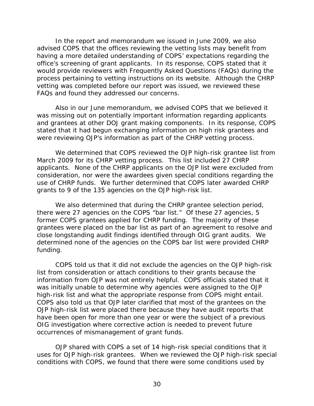In the report and memorandum we issued in June 2009, we also advised COPS that the offices reviewing the vetting lists may benefit from having a more detailed understanding of COPS' expectations regarding the office's screening of grant applicants. In its response, COPS stated that it would provide reviewers with Frequently Asked Questions (FAQs) during the process pertaining to vetting instructions on its website. Although the CHRP vetting was completed before our report was issued, we reviewed these FAQs and found they addressed our concerns.

Also in our June memorandum, we advised COPS that we believed it was missing out on potentially important information regarding applicants and grantees at other DOJ grant making components. In its response, COPS stated that it had begun exchanging information on high risk grantees and were reviewing OJP's information as part of the CHRP vetting process.

We determined that COPS reviewed the OJP high-risk grantee list from March 2009 for its CHRP vetting process. This list included 27 CHRP applicants. None of the CHRP applicants on the OJP list were excluded from consideration, nor were the awardees given special conditions regarding the use of CHRP funds. We further determined that COPS later awarded CHRP grants to 9 of the 135 agencies on the OJP high-risk list.

We also determined that during the CHRP grantee selection period, there were 27 agencies on the COPS "bar list." Of these 27 agencies, 5 former COPS grantees applied for CHRP funding. The majority of these grantees were placed on the bar list as part of an agreement to resolve and close longstanding audit findings identified through OIG grant audits. We determined none of the agencies on the COPS bar list were provided CHRP funding.

COPS told us that it did not exclude the agencies on the OJP high-risk list from consideration or attach conditions to their grants because the information from OJP was not entirely helpful. COPS officials stated that it was initially unable to determine why agencies were assigned to the OJP high-risk list and what the appropriate response from COPS might entail. COPS also told us that OJP later clarified that most of the grantees on the OJP high-risk list were placed there because they have audit reports that have been open for more than one year or were the subject of a previous OIG investigation where corrective action is needed to prevent future occurrences of mismanagement of grant funds.

OJP shared with COPS a set of 14 high-risk special conditions that it uses for OJP high-risk grantees. When we reviewed the OJP high-risk special conditions with COPS, we found that there were some conditions used by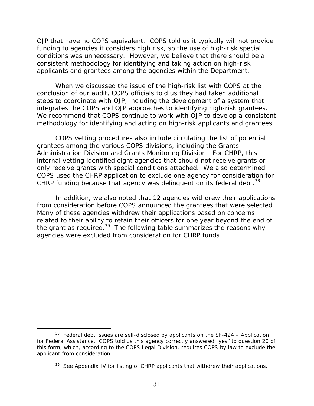OJP that have no COPS equivalent. COPS told us it typically will not provide funding to agencies it considers high risk, so the use of high-risk special conditions was unnecessary. However, we believe that there should be a consistent methodology for identifying and taking action on high-risk applicants and grantees among the agencies within the Department.

When we discussed the issue of the high-risk list with COPS at the conclusion of our audit, COPS officials told us they had taken additional steps to coordinate with OJP, including the development of a system that integrates the COPS and OJP approaches to identifying high-risk grantees. We recommend that COPS continue to work with OJP to develop a consistent methodology for identifying and acting on high-risk applicants and grantees.

CHRP funding because that agency was delinquent on its federal debt.<sup>38</sup> COPS vetting procedures also include circulating the list of potential grantees among the various COPS divisions, including the Grants Administration Division and Grants Monitoring Division. For CHRP, this internal vetting identified eight agencies that should not receive grants or only receive grants with special conditions attached. We also determined COPS used the CHRP application to exclude one agency for consideration for

In addition, we also noted that 12 agencies withdrew their applications from consideration before COPS announced the grantees that were selected. Many of these agencies withdrew their applications based on concerns related to their ability to retain their officers for one year beyond the end of the grant as required.39 The following table summarizes the reasons why agencies were excluded from consideration for CHRP funds.

-

 $38$  Federal debt issues are self-disclosed by applicants on the SF-424 – Application for Federal Assistance. COPS told us this agency correctly answered "yes" to question 20 of this form, which, according to the COPS Legal Division, requires COPS by law to exclude the applicant from consideration.

<sup>&</sup>lt;sup>39</sup> See Appendix IV for listing of CHRP applicants that withdrew their applications.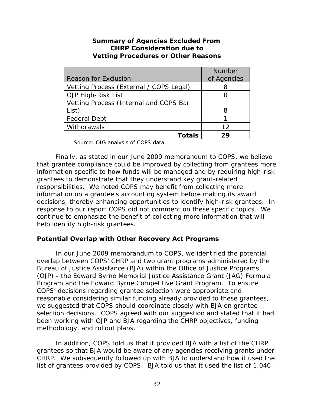## **Summary of Agencies Excluded From CHRP Consideration due to Vetting Procedures or Other Reasons**

|                                         | <b>Number</b> |
|-----------------------------------------|---------------|
| <b>Reason for Exclusion</b>             | of Agencies   |
| Vetting Process (External / COPS Legal) |               |
| OJP High-Risk List                      |               |
| Vetting Process (Internal and COPS Bar  |               |
| List)                                   | 8             |
| <b>Federal Debt</b>                     |               |
| Withdrawals                             | 12            |
| Totals                                  | つロ            |

Source: OIG analysis of COPS data

Finally, as stated in our June 2009 memorandum to COPS, we believe that grantee compliance could be improved by collecting from grantees more information specific to how funds will be managed and by requiring high-risk grantees to demonstrate that they understand key grant-related responsibilities. We noted COPS may benefit from collecting more information on a grantee's accounting system before making its award decisions, thereby enhancing opportunities to identify high-risk grantees. In response to our report COPS did not comment on these specific topics. We continue to emphasize the benefit of collecting more information that will help identify high-risk grantees.

## **Potential Overlap with Other Recovery Act Programs**

In our June 2009 memorandum to COPS, we identified the potential overlap between COPS' CHRP and two grant programs administered by the Bureau of Justice Assistance (BJA) within the Office of Justice Programs (OJP) - the Edward Byrne Memorial Justice Assistance Grant (JAG) Formula Program and the Edward Byrne Competitive Grant Program. To ensure COPS' decisions regarding grantee selection were appropriate and reasonable considering similar funding already provided to these grantees, we suggested that COPS should coordinate closely with BJA on grantee selection decisions. COPS agreed with our suggestion and stated that it had been working with OJP and BJA regarding the CHRP objectives, funding methodology, and rollout plans.

In addition, COPS told us that it provided BJA with a list of the CHRP grantees so that BJA would be aware of any agencies receiving grants under CHRP. We subsequently followed up with BJA to understand how it used the list of grantees provided by COPS. BJA told us that it used the list of 1,046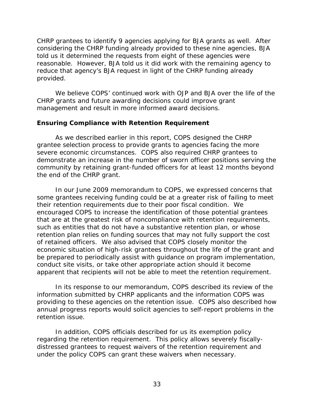CHRP grantees to identify 9 agencies applying for BJA grants as well. After considering the CHRP funding already provided to these nine agencies, BJA told us it determined the requests from eight of these agencies were reasonable. However, BJA told us it did work with the remaining agency to reduce that agency's BJA request in light of the CHRP funding already provided.

We believe COPS' continued work with OJP and BJA over the life of the CHRP grants and future awarding decisions could improve grant management and result in more informed award decisions.

### **Ensuring Compliance with Retention Requirement**

As we described earlier in this report, COPS designed the CHRP grantee selection process to provide grants to agencies facing the more severe economic circumstances. COPS also required CHRP grantees to demonstrate an increase in the number of sworn officer positions serving the community by retaining grant-funded officers for at least 12 months beyond the end of the CHRP grant.

In our June 2009 memorandum to COPS, we expressed concerns that some grantees receiving funding could be at a greater risk of failing to meet their retention requirements due to their poor fiscal condition. We encouraged COPS to increase the identification of those potential grantees that are at the greatest risk of noncompliance with retention requirements, such as entities that do not have a substantive retention plan, or whose retention plan relies on funding sources that may not fully support the cost of retained officers. We also advised that COPS closely monitor the economic situation of high-risk grantees throughout the life of the grant and be prepared to periodically assist with guidance on program implementation, conduct site visits, or take other appropriate action should it become apparent that recipients will not be able to meet the retention requirement.

In its response to our memorandum, COPS described its review of the information submitted by CHRP applicants and the information COPS was providing to these agencies on the retention issue. COPS also described how annual progress reports would solicit agencies to self-report problems in the retention issue.

In addition, COPS officials described for us its exemption policy regarding the retention requirement. This policy allows severely fiscallydistressed grantees to request waivers of the retention requirement and under the policy COPS can grant these waivers when necessary.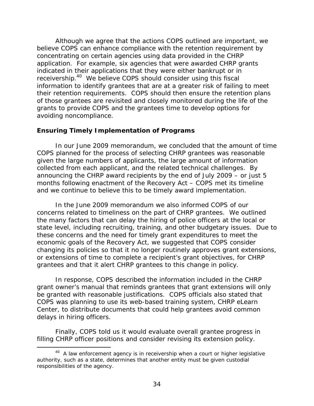Although we agree that the actions COPS outlined are important, we believe COPS can enhance compliance with the retention requirement by concentrating on certain agencies using data provided in the CHRP application. For example, six agencies that were awarded CHRP grants indicated in their applications that they were either bankrupt or in receivership.40 We believe COPS should consider using this fiscal information to identify grantees that are at a greater risk of failing to meet their retention requirements. COPS should then ensure the retention plans of those grantees are revisited and closely monitored during the life of the grants to provide COPS and the grantees time to develop options for avoiding noncompliance.

## **Ensuring Timely Implementation of Programs**

In our June 2009 memorandum, we concluded that the amount of time COPS planned for the process of selecting CHRP grantees was reasonable given the large numbers of applicants, the large amount of information collected from each applicant, and the related technical challenges. By announcing the CHRP award recipients by the end of July 2009 – or just 5 months following enactment of the Recovery Act – COPS met its timeline and we continue to believe this to be timely award implementation.

In the June 2009 memorandum we also informed COPS of our concerns related to timeliness on the part of CHRP grantees. We outlined the many factors that can delay the hiring of police officers at the local or state level, including recruiting, training, and other budgetary issues. Due to these concerns and the need for timely grant expenditures to meet the economic goals of the Recovery Act, we suggested that COPS consider changing its policies so that it no longer routinely approves grant extensions, or extensions of time to complete a recipient's grant objectives, for CHRP grantees and that it alert CHRP grantees to this change in policy.

In response, COPS described the information included in the CHRP grant owner's manual that reminds grantees that grant extensions will only be granted with reasonable justifications. COPS officials also stated that COPS was planning to use its web-based training system, CHRP eLearn Center, to distribute documents that could help grantees avoid common delays in hiring officers.

Finally, COPS told us it would evaluate overall grantee progress in filling CHRP officer positions and consider revising its extension policy.

<sup>-</sup> $40$  A law enforcement agency is in receivership when a court or higher legislative authority, such as a state, determines that another entity must be given custodial responsibilities of the agency.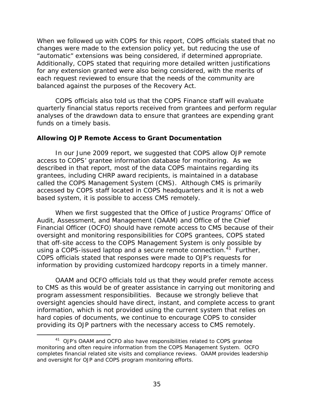When we followed up with COPS for this report, COPS officials stated that no changes were made to the extension policy yet, but reducing the use of "automatic" extensions was being considered, if determined appropriate. Additionally, COPS stated that requiring more detailed written justifications for any extension granted were also being considered, with the merits of each request reviewed to ensure that the needs of the community are balanced against the purposes of the Recovery Act.

COPS officials also told us that the COPS Finance staff will evaluate quarterly financial status reports received from grantees and perform regular analyses of the drawdown data to ensure that grantees are expending grant funds on a timely basis.

### **Allowing OJP Remote Access to Grant Documentation**

In our June 2009 report, we suggested that COPS allow OJP remote access to COPS' grantee information database for monitoring. As we described in that report, most of the data COPS maintains regarding its grantees, including CHRP award recipients, is maintained in a database called the COPS Management System (CMS). Although CMS is primarily accessed by COPS staff located in COPS headquarters and it is not a web based system, it is possible to access CMS remotely.

When we first suggested that the Office of Justice Programs' Office of Audit, Assessment, and Management (OAAM) and Office of the Chief Financial Officer (OCFO) should have remote access to CMS because of their oversight and monitoring responsibilities for COPS grantees, COPS stated that off-site access to the COPS Management System is only possible by using a COPS-issued laptop and a secure remote connection.<sup>41</sup> Further, COPS officials stated that responses were made to OJP's requests for information by providing customized hardcopy reports in a timely manner.

OAAM and OCFO officials told us that they would prefer remote access to CMS as this would be of greater assistance in carrying out monitoring and program assessment responsibilities. Because we strongly believe that oversight agencies should have direct, instant, and complete access to grant information, which is not provided using the current system that relies on hard copies of documents, we continue to encourage COPS to consider providing its OJP partners with the necessary access to CMS remotely.

-

<sup>&</sup>lt;sup>41</sup> OJP's OAAM and OCFO also have responsibilities related to COPS grantee monitoring and often require information from the COPS Management System. OCFO completes financial related site visits and compliance reviews. OAAM provides leadership and oversight for OJP and COPS program monitoring efforts.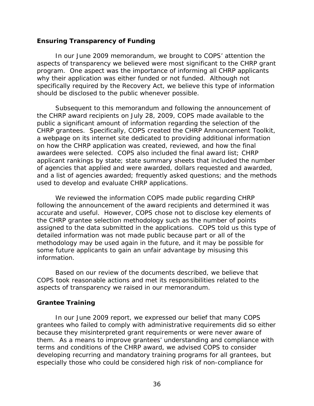## **Ensuring Transparency of Funding**

In our June 2009 memorandum, we brought to COPS' attention the aspects of transparency we believed were most significant to the CHRP grant program. One aspect was the importance of informing all CHRP applicants why their application was either funded or not funded. Although not specifically required by the Recovery Act, we believe this type of information should be disclosed to the public whenever possible.

Subsequent to this memorandum and following the announcement of the CHRP award recipients on July 28, 2009, COPS made available to the public a significant amount of information regarding the selection of the CHRP grantees. Specifically, COPS created the CHRP Announcement Toolkit, a webpage on its internet site dedicated to providing additional information on how the CHRP application was created, reviewed, and how the final awardees were selected. COPS also included the final award list; CHRP applicant rankings by state; state summary sheets that included the number of agencies that applied and were awarded, dollars requested and awarded, and a list of agencies awarded; frequently asked questions; and the methods used to develop and evaluate CHRP applications.

We reviewed the information COPS made public regarding CHRP following the announcement of the award recipients and determined it was accurate and useful. However, COPS chose not to disclose key elements of the CHRP grantee selection methodology such as the number of points assigned to the data submitted in the applications. COPS told us this type of detailed information was not made public because part or all of the methodology may be used again in the future, and it may be possible for some future applicants to gain an unfair advantage by misusing this information.

Based on our review of the documents described, we believe that COPS took reasonable actions and met its responsibilities related to the aspects of transparency we raised in our memorandum.

## **Grantee Training**

In our June 2009 report, we expressed our belief that many COPS grantees who failed to comply with administrative requirements did so either because they misinterpreted grant requirements or were never aware of them. As a means to improve grantees' understanding and compliance with terms and conditions of the CHRP award, we advised COPS to consider developing recurring and mandatory training programs for all grantees, but especially those who could be considered high risk of non-compliance for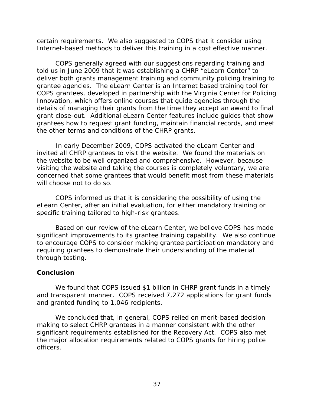certain requirements. We also suggested to COPS that it consider using Internet-based methods to deliver this training in a cost effective manner.

COPS generally agreed with our suggestions regarding training and told us in June 2009 that it was establishing a CHRP "eLearn Center" to deliver both grants management training and community policing training to grantee agencies. The eLearn Center is an Internet based training tool for COPS grantees, developed in partnership with the Virginia Center for Policing Innovation, which offers online courses that guide agencies through the details of managing their grants from the time they accept an award to final grant close-out. Additional eLearn Center features include guides that show grantees how to request grant funding, maintain financial records, and meet the other terms and conditions of the CHRP grants.

In early December 2009, COPS activated the eLearn Center and invited all CHRP grantees to visit the website. We found the materials on the website to be well organized and comprehensive. However, because visiting the website and taking the courses is completely voluntary, we are concerned that some grantees that would benefit most from these materials will choose not to do so.

COPS informed us that it is considering the possibility of using the eLearn Center, after an initial evaluation, for either mandatory training or specific training tailored to high-risk grantees.

Based on our review of the eLearn Center, we believe COPS has made significant improvements to its grantee training capability. We also continue to encourage COPS to consider making grantee participation mandatory and requiring grantees to demonstrate their understanding of the material through testing.

## **Conclusion**

We found that COPS issued \$1 billion in CHRP grant funds in a timely and transparent manner. COPS received 7,272 applications for grant funds and granted funding to 1,046 recipients.

We concluded that, in general, COPS relied on merit-based decision making to select CHRP grantees in a manner consistent with the other significant requirements established for the Recovery Act. COPS also met the major allocation requirements related to COPS grants for hiring police officers.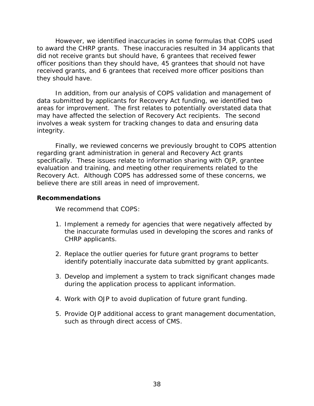However, we identified inaccuracies in some formulas that COPS used to award the CHRP grants. These inaccuracies resulted in 34 applicants that did not receive grants but should have, 6 grantees that received fewer officer positions than they should have, 45 grantees that should not have received grants, and 6 grantees that received more officer positions than they should have.

In addition, from our analysis of COPS validation and management of data submitted by applicants for Recovery Act funding, we identified two areas for improvement. The first relates to potentially overstated data that may have affected the selection of Recovery Act recipients. The second involves a weak system for tracking changes to data and ensuring data integrity.

Finally, we reviewed concerns we previously brought to COPS attention regarding grant administration in general and Recovery Act grants specifically. These issues relate to information sharing with OJP, grantee evaluation and training, and meeting other requirements related to the Recovery Act. Although COPS has addressed some of these concerns, we believe there are still areas in need of improvement.

#### **Recommendations**

We recommend that COPS:

- 1. Implement a remedy for agencies that were negatively affected by the inaccurate formulas used in developing the scores and ranks of CHRP applicants.
- 2. Replace the outlier queries for future grant programs to better identify potentially inaccurate data submitted by grant applicants.
- 3. Develop and implement a system to track significant changes made during the application process to applicant information.
- 4. Work with OJP to avoid duplication of future grant funding.
- 5. Provide OJP additional access to grant management documentation, such as through direct access of CMS.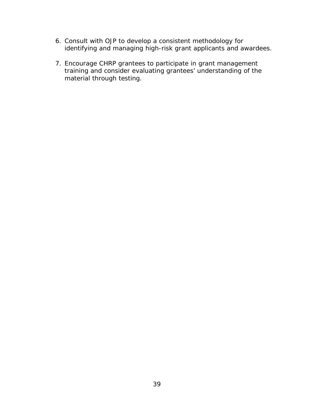- 6. Consult with OJP to develop a consistent methodology for identifying and managing high-risk grant applicants and awardees.
- 7. Encourage CHRP grantees to participate in grant management training and consider evaluating grantees' understanding of the material through testing.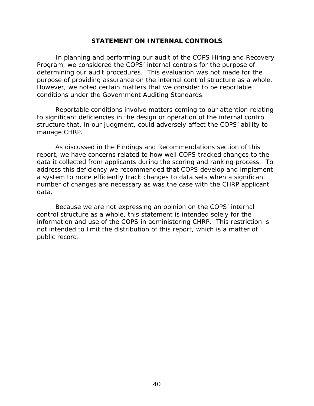## **STATEMENT ON INTERNAL CONTROLS**

In planning and performing our audit of the COPS Hiring and Recovery Program, we considered the COPS' internal controls for the purpose of determining our audit procedures. This evaluation was not made for the purpose of providing assurance on the internal control structure as a whole. However, we noted certain matters that we consider to be reportable conditions under the *Government Auditing Standards*.

Reportable conditions involve matters coming to our attention relating to significant deficiencies in the design or operation of the internal control structure that, in our judgment, could adversely affect the COPS' ability to manage CHRP.

As discussed in the Findings and Recommendations section of this report, we have concerns related to how well COPS tracked changes to the data it collected from applicants during the scoring and ranking process. To address this deficiency we recommended that COPS develop and implement a system to more efficiently track changes to data sets when a significant number of changes are necessary as was the case with the CHRP applicant data.

Because we are not expressing an opinion on the COPS' internal control structure as a whole, this statement is intended solely for the information and use of the COPS in administering CHRP. This restriction is not intended to limit the distribution of this report, which is a matter of public record.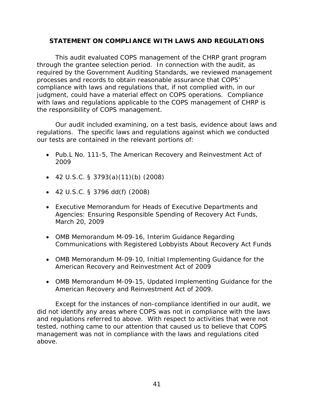## **STATEMENT ON COMPLIANCE WITH LAWS AND REGULATIONS**

This audit evaluated COPS management of the CHRP grant program through the grantee selection period. In connection with the audit, as required by the *Government Auditing Standards*, we reviewed management processes and records to obtain reasonable assurance that COPS' compliance with laws and regulations that, if not complied with, in our judgment, could have a material effect on COPS operations. Compliance with laws and regulations applicable to the COPS management of CHRP is the responsibility of COPS management.

Our audit included examining, on a test basis, evidence about laws and regulations. The specific laws and regulations against which we conducted our tests are contained in the relevant portions of:

- Pub.L No. 111-5, The American Recovery and Reinvestment Act of 2009
- $\bullet$  42 U.S.C. § 3793(a)(11)(b) (2008)
- 42 U.S.C. § 3796 dd(f) (2008)
- Executive Memorandum for Heads of Executive Departments and Agencies: Ensuring Responsible Spending of Recovery Act Funds, March 20, 2009
- OMB Memorandum M-09-16, Interim Guidance Regarding Communications with Registered Lobbyists About Recovery Act Funds
- OMB Memorandum M-09-10, Initial Implementing Guidance for the American Recovery and Reinvestment Act of 2009
- OMB Memorandum M-09-15, Updated Implementing Guidance for the American Recovery and Reinvestment Act of 2009.

Except for the instances of non-compliance identified in our audit, we did not identify any areas where COPS was not in compliance with the laws and regulations referred to above. With respect to activities that were not tested, nothing came to our attention that caused us to believe that COPS management was not in compliance with the laws and regulations cited above.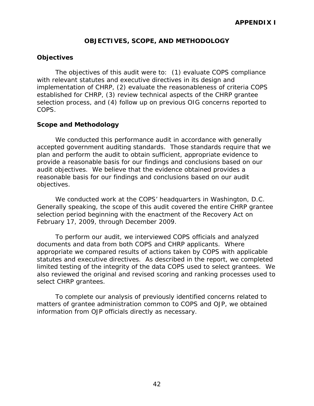## **OBJECTIVES, SCOPE, AND METHODOLOGY**

### **Objectives**

The objectives of this audit were to: (1) evaluate COPS compliance with relevant statutes and executive directives in its design and implementation of CHRP, (2) evaluate the reasonableness of criteria COPS established for CHRP, (3) review technical aspects of the CHRP grantee selection process, and (4) follow up on previous OIG concerns reported to COPS.

### **Scope and Methodology**

We conducted this performance audit in accordance with generally accepted government auditing standards. Those standards require that we plan and perform the audit to obtain sufficient, appropriate evidence to provide a reasonable basis for our findings and conclusions based on our audit objectives. We believe that the evidence obtained provides a reasonable basis for our findings and conclusions based on our audit objectives.

We conducted work at the COPS' headquarters in Washington, D.C. Generally speaking, the scope of this audit covered the entire CHRP grantee selection period beginning with the enactment of the Recovery Act on February 17, 2009, through December 2009.

To perform our audit, we interviewed COPS officials and analyzed documents and data from both COPS and CHRP applicants. Where appropriate we compared results of actions taken by COPS with applicable statutes and executive directives. As described in the report, we completed limited testing of the integrity of the data COPS used to select grantees. We also reviewed the original and revised scoring and ranking processes used to select CHRP grantees.

To complete our analysis of previously identified concerns related to matters of grantee administration common to COPS and OJP, we obtained information from OJP officials directly as necessary.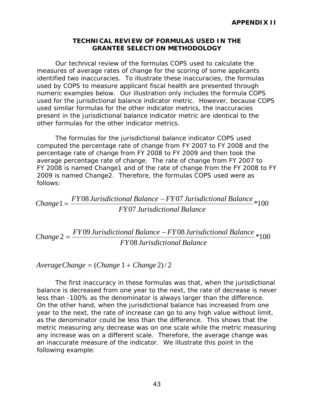## **TECHNICAL REVIEW OF FORMULAS USED IN THE GRANTEE SELECTION METHODOLOGY**

Our technical review of the formulas COPS used to calculate the measures of average rates of change for the scoring of some applicants identified two inaccuracies. To illustrate these inaccuracies, the formulas used by COPS to measure applicant fiscal health are presented through numeric examples below. Our illustration only includes the formula COPS used for the jurisdictional balance indicator metric. However, because COPS used similar formulas for the other indicator metrics, the inaccuracies present in the jurisdictional balance indicator metric are identical to the other formulas for the other indicator metrics.

The formulas for the jurisdictional balance indicator COPS used computed the percentage rate of change from FY 2007 to FY 2008 and the percentage rate of change from FY 2008 to FY 2009 and then took the average percentage rate of change. The rate of change from FY 2007 to FY 2008 is named Change1 and of the rate of change from the FY 2008 to FY 2009 is named Change2. Therefore, the formulas COPS used were as follows:

 $Change1 = \frac{FY08 \text{ Jurisdictional Balance} - FY07 \text{ Jurisdictional Balance}}{T100} *100$ *FY* 07 *Jurisdictional Balance* 

 $Change 2 = \frac{FY09 \text{ Jurisdictional Balance} - FY08 \text{ Jurisdictional Balance}}{100}$ *FY* 08 *Jurisdictional Balance* 

 $Average Change = (Change 1 + Change 2)/2$ 

The first inaccuracy in these formulas was that, when the jurisdictional balance is decreased from one year to the next, the rate of decrease is never less than -100% as the denominator is always larger than the difference. On the other hand, when the jurisdictional balance has increased from one year to the next, the rate of increase can go to any high value without limit, as the denominator could be less than the difference. This shows that the metric measuring any decrease was on one scale while the metric measuring any increase was on a different scale. Therefore, the average change was an inaccurate measure of the indicator. We illustrate this point in the following example: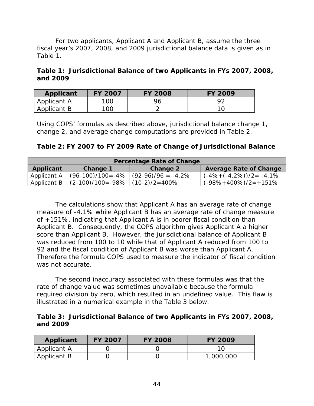For two applicants, Applicant A and Applicant B, assume the three fiscal year's 2007, 2008, and 2009 jurisdictional balance data is given as in Table 1.

|          | Table 1: Jurisdictional Balance of two Applicants in FYs 2007, 2008, |  |  |
|----------|----------------------------------------------------------------------|--|--|
| and 2009 |                                                                      |  |  |

| Applicant   | <b>FY 2007</b> | <b>FY 2008</b> | <b>FY 2009</b> |
|-------------|----------------|----------------|----------------|
| Applicant A | 100            | 96             | oσ             |
| Applicant B | 100            |                |                |

Using COPS' formulas as described above, jurisdictional balance change 1, change 2, and average change computations are provided in Table 2.

| Table 2: FY 2007 to FY 2009 Rate of Change of Jurisdictional Balance |                      |                      |                                |  |  |  |  |  |
|----------------------------------------------------------------------|----------------------|----------------------|--------------------------------|--|--|--|--|--|
| <b>Percentage Rate of Change</b>                                     |                      |                      |                                |  |  |  |  |  |
| <b>Average Rate of Change</b><br>Applicant<br>Change 2<br>Change 1   |                      |                      |                                |  |  |  |  |  |
| Applicant A                                                          | (96-100)/100=-4%     | $(92-96)/96 = -4.2%$ | $(-4\% + (-4.2\%))/2 = -4.1\%$ |  |  |  |  |  |
| Applicant B                                                          | $(2-100)/100 = -98%$ | $(10-2)/2=400%$      | $(-98\% + 400\%)$ /2=+151%     |  |  |  |  |  |

The calculations show that Applicant A has an average rate of change measure of -4.1% while Applicant B has an average rate of change measure of +151%, indicating that Applicant A is in poorer fiscal condition than Applicant B. Consequently, the COPS algorithm gives Applicant A a higher score than Applicant B. However, the jurisdictional balance of Applicant B was reduced from 100 to 10 while that of Applicant A reduced from 100 to 92 and the fiscal condition of Applicant B was worse than Applicant A. Therefore the formula COPS used to measure the indicator of fiscal condition was not accurate.

The second inaccuracy associated with these formulas was that the rate of change value was sometimes unavailable because the formula required division by zero, which resulted in an undefined value. This flaw is illustrated in a numerical example in the Table 3 below.

**Table 3: Jurisdictional Balance of two Applicants in FYs 2007, 2008, and 2009** 

| Applicant   | <b>FY 2007</b> | <b>FY 2008</b> | <b>FY 2009</b> |
|-------------|----------------|----------------|----------------|
| Applicant A |                |                |                |
| Applicant B |                |                | 1,000,000      |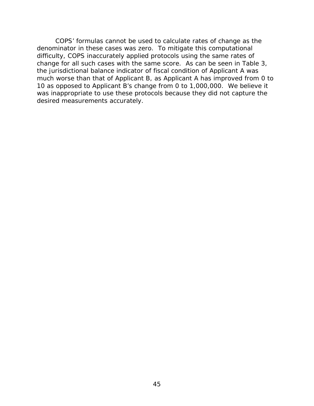COPS' formulas cannot be used to calculate rates of change as the denominator in these cases was zero. To mitigate this computational difficulty, COPS inaccurately applied protocols using the same rates of change for all such cases with the same score. As can be seen in Table 3, the jurisdictional balance indicator of fiscal condition of Applicant A was much worse than that of Applicant B, as Applicant A has improved from 0 to 10 as opposed to Applicant B's change from 0 to 1,000,000. We believe it was inappropriate to use these protocols because they did not capture the desired measurements accurately.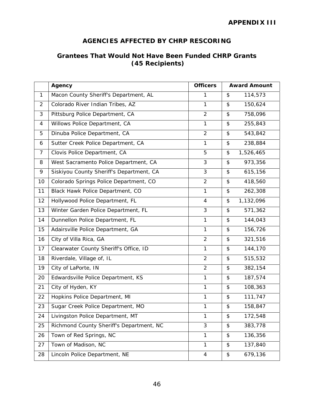## **AGENCIES AFFECTED BY CHRP RESCORING**

## **Grantees That Would Not Have Been Funded CHRP Grants (45 Recipients)**

|                | Agency                                   | <b>Officers</b> | <b>Award Amount</b> |           |
|----------------|------------------------------------------|-----------------|---------------------|-----------|
| $\mathbf{1}$   | Macon County Sheriff's Department, AL    | 1               | \$                  | 114,573   |
| 2              | Colorado River Indian Tribes, AZ         | $\mathbf{1}$    | \$                  | 150,624   |
| 3              | Pittsburg Police Department, CA          | $\overline{2}$  | \$                  | 758,096   |
| 4              | Willows Police Department, CA            | $\mathbf{1}$    | \$                  | 255,843   |
| 5              | Dinuba Police Department, CA             | $\overline{2}$  | \$                  | 543,842   |
| 6              | Sutter Creek Police Department, CA       | $\mathbf{1}$    | \$                  | 238,884   |
| $\overline{7}$ | Clovis Police Department, CA             | 5               | \$                  | 1,526,465 |
| 8              | West Sacramento Police Department, CA    | 3               | \$                  | 973,356   |
| 9              | Siskiyou County Sheriff's Department, CA | $\mathfrak{Z}$  | \$                  | 615,156   |
| 10             | Colorado Springs Police Department, CO   | $\overline{2}$  | \$                  | 418,560   |
| 11             | Black Hawk Police Department, CO         | $\mathbf{1}$    | \$                  | 262,308   |
| 12             | Hollywood Police Department, FL          | 4               | \$                  | 1,132,096 |
| 13             | Winter Garden Police Department, FL      | $\mathfrak{Z}$  | \$                  | 571,362   |
| 14             | Dunnellon Police Department, FL          | $\mathbf{1}$    | \$                  | 144,043   |
| 15             | Adairsville Police Department, GA        | $\mathbf{1}$    | \$                  | 156,726   |
| 16             | City of Villa Rica, GA                   | $\overline{2}$  | \$                  | 321,516   |
| 17             | Clearwater County Sheriff's Office, ID   | $\mathbf{1}$    | \$                  | 144,170   |
| 18             | Riverdale, Village of, IL                | $\overline{2}$  | \$                  | 515,532   |
| 19             | City of LaPorte, IN                      | $\overline{2}$  | \$                  | 382,154   |
| 20             | Edwardsville Police Department, KS       | $\mathbf{1}$    | \$                  | 187,574   |
| 21             | City of Hyden, KY                        | $\mathbf{1}$    | \$                  | 108,363   |
| 22             | Hopkins Police Department, MI            | $\mathbf{1}$    | \$                  | 111,747   |
| 23             | Sugar Creek Police Department, MO        | $\mathbf{1}$    | \$                  | 158,847   |
| 24             | Livingston Police Department, MT         | 1               | \$                  | 172,548   |
| 25             | Richmond County Sheriff's Department, NC | 3               | \$                  | 383,778   |
| 26             | Town of Red Springs, NC                  | 1               | \$                  | 136,356   |
| 27             | Town of Madison, NC                      | 1               | \$                  | 137,840   |
| 28             | Lincoln Police Department, NE            | 4               | \$                  | 679,136   |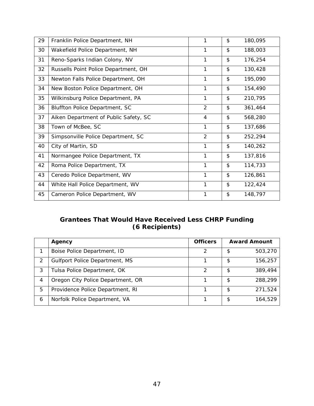| 29 | Franklin Police Department, NH        | 1              | \$<br>180,095 |
|----|---------------------------------------|----------------|---------------|
| 30 | Wakefield Police Department, NH       | 1              | \$<br>188,003 |
| 31 | Reno-Sparks Indian Colony, NV         | 1              | \$<br>176,254 |
| 32 | Russells Point Police Department, OH  | 1              | \$<br>130,428 |
| 33 | Newton Falls Police Department, OH    | 1              | \$<br>195,090 |
| 34 | New Boston Police Department, OH      | 1              | \$<br>154,490 |
| 35 | Wilkinsburg Police Department, PA     | 1              | \$<br>210,795 |
| 36 | Bluffton Police Department, SC        | $\overline{2}$ | \$<br>361,464 |
| 37 | Aiken Department of Public Safety, SC | $\overline{4}$ | \$<br>568,280 |
| 38 | Town of McBee, SC                     | 1              | \$<br>137,686 |
| 39 | Simpsonville Police Department, SC    | $\overline{2}$ | \$<br>252,294 |
| 40 | City of Martin, SD                    | $\mathbf{1}$   | \$<br>140,262 |
| 41 | Normangee Police Department, TX       | 1              | \$<br>137,816 |
| 42 | Roma Police Department, TX            | $\mathbf{1}$   | \$<br>114,733 |
| 43 | Ceredo Police Department, WV          | 1              | \$<br>126,861 |
| 44 | White Hall Police Department, WV      | 1              | \$<br>122,424 |
| 45 | Cameron Police Department, WV         | 1              | \$<br>148,797 |

## **Grantees That Would Have Received Less CHRP Funding (6 Recipients)**

|               | Agency                                | <b>Officers</b> | <b>Award Amount</b> |         |
|---------------|---------------------------------------|-----------------|---------------------|---------|
|               | Boise Police Department, ID           |                 |                     | 503,270 |
| $\mathcal{P}$ | <b>Gulfport Police Department, MS</b> |                 |                     | 156,257 |
| 3             | Tulsa Police Department, OK           | $\mathcal{P}$   | S                   | 389,494 |
| 4             | Oregon City Police Department, OR     |                 |                     | 288,299 |
| 5             | Providence Police Department, RI      |                 |                     | 271,524 |
| 6             | Norfolk Police Department, VA         |                 |                     | 164,529 |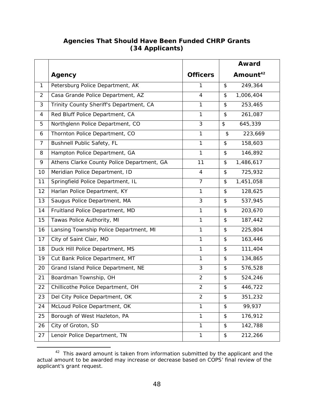## **Agencies That Should Have Been Funded CHRP Grants (34 Applicants)**

|                |                                            |                 | <b>Award</b>                                  |                      |
|----------------|--------------------------------------------|-----------------|-----------------------------------------------|----------------------|
|                | Agency                                     | <b>Officers</b> |                                               | Amount <sup>42</sup> |
| 1              | Petersburg Police Department, AK           | 1               | \$                                            | 249,364              |
| 2              | Casa Grande Police Department, AZ          | $\overline{4}$  | \$                                            | 1,006,404            |
| 3              | Trinity County Sheriff's Department, CA    | $\mathbf{1}$    | \$                                            | 253,465              |
| 4              | Red Bluff Police Department, CA            | $\mathbf{1}$    | \$                                            | 261,087              |
| 5              | Northglenn Police Department, CO           | $\mathfrak{Z}$  | \$                                            | 645,339              |
| 6              | Thornton Police Department, CO             | $\mathbf{1}$    | $\frac{1}{2}$                                 | 223,669              |
| $\overline{7}$ | <b>Bushnell Public Safety, FL</b>          | $\mathbf{1}$    | \$                                            | 158,603              |
| 8              | Hampton Police Department, GA              | $\mathbf{1}$    | \$                                            | 146,892              |
| 9              | Athens Clarke County Police Department, GA | 11              | \$                                            | 1,486,617            |
| 10             | Meridian Police Department, ID             | $\overline{4}$  | \$                                            | 725,932              |
| 11             | Springfield Police Department, IL          | $\overline{7}$  | \$                                            | 1,451,058            |
| 12             | Harlan Police Department, KY               | 1               | \$                                            | 128,625              |
| 13             | Saugus Police Department, MA               | $\mathfrak{Z}$  | \$                                            | 537,945              |
| 14             | Fruitland Police Department, MD            | 1               | \$                                            | 203,670              |
| 15             | Tawas Police Authority, MI                 | $\mathbf{1}$    | \$                                            | 187,442              |
| 16             | Lansing Township Police Department, MI     | $\mathbf{1}$    | \$                                            | 225,804              |
| 17             | City of Saint Clair, MO                    | $\mathbf{1}$    | \$                                            | 163,446              |
| 18             | Duck Hill Police Department, MS            | $\mathbf{1}$    | \$                                            | 111,404              |
| 19             | Cut Bank Police Department, MT             | $\mathbf{1}$    | \$                                            | 134,865              |
| 20             | Grand Island Police Department, NE         | 3               | \$                                            | 576,528              |
| 21             | Boardman Township, OH                      | $\overline{2}$  | \$                                            | 524,246              |
| 22             | Chillicothe Police Department, OH          | 2               | \$                                            | 446,722              |
| 23             | Del City Police Department, OK             | $\overline{2}$  | \$                                            | 351,232              |
| 24             | McLoud Police Department, OK               | $\mathbf{1}$    | \$                                            | 99,937               |
| 25             | Borough of West Hazleton, PA               | 1               | \$                                            | 176,912              |
| 26             | City of Groton, SD                         | $\mathbf{1}$    | \$                                            | 142,788              |
| 27             | Lenoir Police Department, TN               | $\mathbf{1}$    | $\, \, \raisebox{12pt}{$\scriptstyle \circ$}$ | 212,266              |

 $\overline{a}$  $42$  This award amount is taken from information submitted by the applicant and the actual amount to be awarded may increase or decrease based on COPS' final review of the applicant's grant request.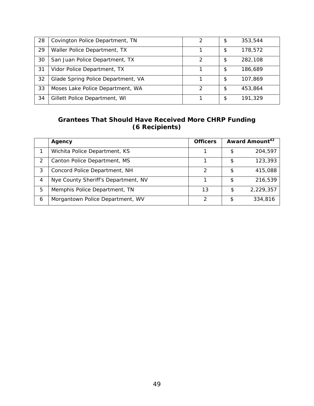| 28 | Covington Police Department, TN    | 2             | \$<br>353,544 |
|----|------------------------------------|---------------|---------------|
| 29 | Waller Police Department, TX       |               | \$<br>178,572 |
| 30 | San Juan Police Department, TX     | っ             | \$<br>282,108 |
| 31 | Vidor Police Department, TX        |               | \$<br>186,689 |
| 32 | Glade Spring Police Department, VA |               | \$<br>107,869 |
| 33 | Moses Lake Police Department, WA   | $\mathcal{D}$ | \$<br>453,864 |
| 34 | Gillett Police Department, WI      |               | \$<br>191,329 |

## **Grantees That Should Have Received More CHRP Funding (6 Recipients)**

|   | Agency                              | <b>Officers</b> | Award Amount <sup>42</sup> |
|---|-------------------------------------|-----------------|----------------------------|
|   | Wichita Police Department, KS       |                 | 204,597                    |
|   | Canton Police Department, MS        |                 | \$<br>123,393              |
| 3 | Concord Police Department, NH       | $\mathcal{P}$   | \$<br>415,088              |
| 4 | Nye County Sheriff's Department, NV |                 | \$<br>216,539              |
| 5 | Memphis Police Department, TN       | 13              | \$<br>2,229,357            |
| 6 | Morgantown Police Department, WV    | っ               | \$<br>334,816              |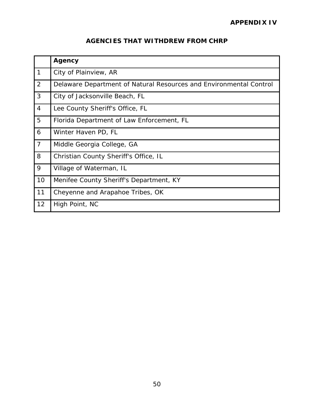## **AGENCIES THAT WITHDREW FROM CHRP**

|                | <b>Agency</b>                                                      |
|----------------|--------------------------------------------------------------------|
| $\mathbf{1}$   | City of Plainview, AR                                              |
| 2              | Delaware Department of Natural Resources and Environmental Control |
| 3              | City of Jacksonville Beach, FL                                     |
| $\overline{4}$ | Lee County Sheriff's Office, FL                                    |
| 5              | Florida Department of Law Enforcement, FL                          |
| 6              | Winter Haven PD, FL                                                |
| $\overline{7}$ | Middle Georgia College, GA                                         |
| 8              | Christian County Sheriff's Office, IL                              |
| 9              | Village of Waterman, IL                                            |
| 10             | Menifee County Sheriff's Department, KY                            |
| 11             | Cheyenne and Arapahoe Tribes, OK                                   |
| 12             | High Point, NC                                                     |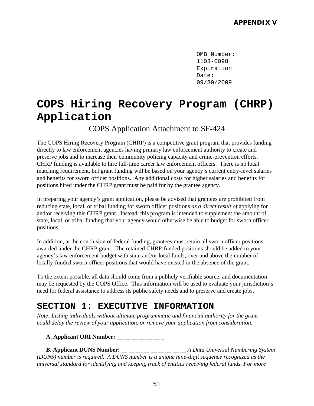OMB Number: 1103-0098 Expiration Date: 09/30/2009

# **COPS Hiring Recovery Program (CHRP) Application**

COPS Application Attachment to SF-424

The COPS Hiring Recovery Program (CHRP) is a competitive grant program that provides funding directly to law enforcement agencies having primary law enforcement authority to create and preserve jobs and to increase their community policing capacity and crime-prevention efforts. CHRP funding is available to hire full-time career law enforcement officers. There is no local matching requirement, but grant funding will be based on your agency's current entry-level salaries and benefits for sworn officer positions. Any additional costs for higher salaries and benefits for positions hired under the CHRP grant must be paid for by the grantee agency.

In preparing your agency's grant application, please be advised that grantees are prohibited from reducing state, local, or tribal funding for sworn officer positions *as a direct result of* applying for and/or receiving this CHRP grant. Instead, this program is intended to supplement the amount of state, local, or tribal funding that your agency would otherwise be able to budget for sworn officer positions.

In addition, at the conclusion of federal funding, grantees must retain all sworn officer positions awarded under the CHRP grant. The retained CHRP-funded positions should be added to your agency's law enforcement budget with state and/or local funds, over and above the number of locally-funded sworn officer positions that would have existed in the absence of the grant.

 need for federal assistance to address its public safety needs and to preserve and create jobs. To the extent possible, all data should come from a publicly verifiable source, and documentation may be requested by the COPS Office. This information will be used to evaluate your jurisdiction's

## **SECTION 1: EXECUTIVE INFORMATION**

*Note: Listing individuals without ultimate programmatic and financial authority for the grant could delay the review of your application, or remove your application from consideration.* 

## **A. Applicant ORI Number: \_\_ \_ \_ \_ \_ \_ \_ \_**

**B. Applicant DUNS Number:** \_\_ \_ \_ \_ \_ \_ \_ \_ \_ \_ *\_* \_ *A Data Universal Numbering System (DUNS) number is required. A DUNS number is a unique nine-digit sequence recognized as the universal standard for identifying and keeping track of entities receiving federal funds. For more*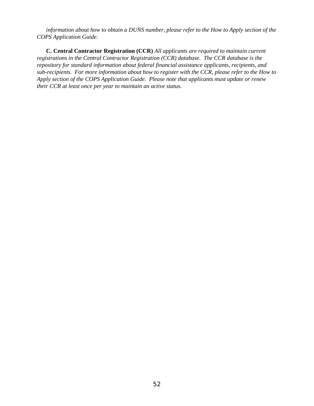*information about how to obtain a DUNS number, please refer to the How to Apply section of the COPS Application Guide.* 

**C. Central Contractor Registration (CCR)** *All applicants are required to maintain current registrations in the Central Contractor Registration (CCR) database. The CCR database is the repository for standard information about federal financial assistance applicants, recipients, and sub-recipients. For more information about how to register with the CCR, please refer to the How to Apply section of the COPS Application Guide. Please note that applicants must update or renew their CCR at least once per year to maintain an active status.*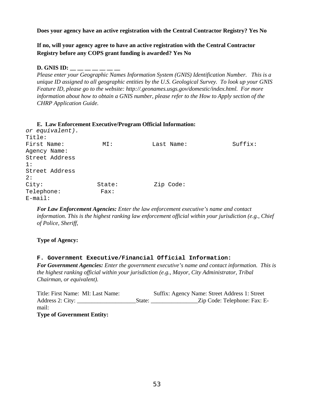**Does your agency have an active registration with the Central Contractor Registry? Yes No** 

**If no, will your agency agree to have an active registration with the Central Contractor Registry before any COPS grant funding is awarded? Yes No** 

#### **D. GNIS ID: \_\_ \_\_ \_\_ \_\_ \_\_ \_\_ \_\_**

*Please enter your Geographic Names Information System (GNIS) Identification Number. This is a unique ID assigned to all geographic entities by the U.S. Geological Survey. To look up your GNIS Feature ID, please go to the website: http://.geonames.usgs.gov/domestic/index.html. For more information about how to obtain a GNIS number, please refer to the How to Apply section of the CHRP Application Guide.* 

|  |       | E. Law Enforcement Executive/Program Official Information: |
|--|-------|------------------------------------------------------------|
|  | . 7 1 |                                                            |

| or equivalent). |        |            |         |
|-----------------|--------|------------|---------|
| Title:          |        |            |         |
| First Name:     | MT:    | Last Name: | Suffix: |
| Agency Name:    |        |            |         |
| Street Address  |        |            |         |
| 1:              |        |            |         |
| Street Address  |        |            |         |
| 2:              |        |            |         |
| City:           | State: | Zip Code:  |         |
| Telephone:      | Fast:  |            |         |
| $E$ -mail:      |        |            |         |

*For Law Enforcement Agencies: Enter the law enforcement executive's name and contact information. This is the highest ranking law enforcement official within your jurisdiction (e.g., Chief of Police, Sheriff,* 

#### **Type of Agency:**

#### **F. Government Executive/Financial Official Information:**

*For Government Agencies: Enter the government executive's name and contact information. This is the highest ranking official within your jurisdiction (e.g., Mayor, City Administrator, Tribal Chairman, or equivalent).* 

| Title: First Name: MI: Last Name: |        | Suffix: Agency Name: Street Address 1: Street |
|-----------------------------------|--------|-----------------------------------------------|
| Address 2: City:                  | State: | Zip Code: Telephone: Fax: E-                  |
| mail:                             |        |                                               |
| <b>Type of Government Entity:</b> |        |                                               |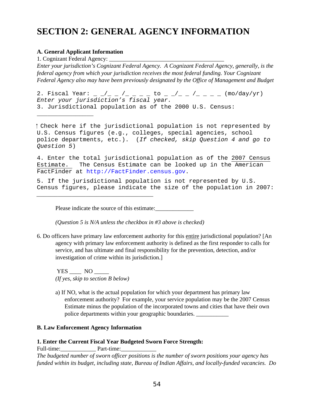# **SECTION 2: GENERAL AGENCY INFORMATION**

#### **A. General Applicant Information**

1. Cognizant Federal Agency: \_\_\_\_\_\_\_\_\_\_\_\_\_\_\_\_\_\_\_\_\_\_\_\_\_\_\_\_\_\_\_\_\_\_\_\_\_\_\_

 $\overline{\phantom{a}}$  , where  $\overline{\phantom{a}}$  , where  $\overline{\phantom{a}}$  , where  $\overline{\phantom{a}}$ 

*Enter your jurisdiction's Cognizant Federal Agency. A Cognizant Federal Agency, generally, is the federal agency from which your jurisdiction receives the most federal funding. Your Cognizant Federal Agency also may have been previously designated by the Office of Management and Budget* 

2. Fiscal Year: \_ \_/\_ \_ /\_ \_ \_ to \_ \_/\_ \_ /\_ \_ \_ (mo/day/yr) *Enter your jurisdiction's fiscal year.*  3. Jurisdictional population as of the 2000 U.S. Census:

 Check here if the jurisdictional population is not represented by U.S. Census figures (e.g., colleges, special agencies, school police departments, etc.). (*If checked, skip Question 4 and go to Question 5*)

4. Enter the total jurisdictional population as of the 2007 Census Estimate. The Census Estimate can be looked up in the American FactFinder at http://FactFinder.census.gov.

5. If the jurisdictional population is not represented by U.S. Census figures, please indicate the size of the population in 2007:

Please indicate the source of this estimate:

*(Question 5 is N/A unless the checkbox in #3 above is checked)* 

 investigation of crime within its jurisdiction.] 6. Do officers have primary law enforcement authority for this entire jurisdictional population? [An agency with primary law enforcement authority is defined as the first responder to calls for service, and has ultimate and final responsibility for the prevention, detection, and/or

 $YES \quad \_\ NO \quad \_\_\$ *(If yes, skip to section B below)* 

*\_\_\_\_\_\_\_\_\_\_\_\_\_\_\_\_\_\_\_\_\_\_\_\_\_\_\_\_\_\_\_\_\_* 

a) If NO, what is the actual population for which your department has primary law enforcement authority? For example, your service population may be the 2007 Census Estimate minus the population of the incorporated towns and cities that have their own police departments within your geographic boundaries. \_\_\_\_\_\_\_\_\_\_\_

#### **B. Law Enforcement Agency Information**

#### **1. Enter the Current Fiscal Year Budgeted Sworn Force Strength:**

Full-time: Part-time:

*The budgeted number of sworn officer positions is the number of sworn positions your agency has funded within its budget, including state, Bureau of Indian Affairs, and locally-funded vacancies. Do*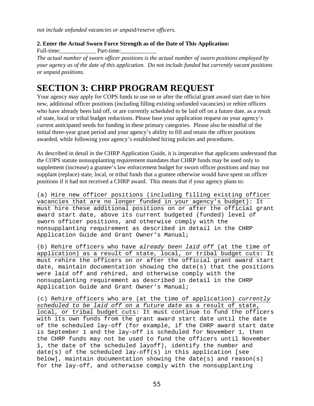*not include unfunded vacancies or unpaid/reserve officers.* 

**2. Enter the Actual Sworn Force Strength as of the Date of This Application:** 

Full-time: Part-time:

*The actual number of sworn officer positions is the actual number of sworn positions employed by your agency as of the date of this application. Do not include funded but currently vacant positions or unpaid positions.* 

# **SECTION 3: CHRP PROGRAM REQUEST**

 who have already been laid off, or are currently scheduled to be laid off on a future date*,* as a result Your agency may apply for COPS funds to use on or after the official grant award start date to hire new, additional officer positions (including filling existing unfunded vacancies) or rehire officers of state, local or tribal budget reductions. Please base your application request on your agency's current anticipated needs for funding in these primary categories. Please also be mindful of the initial three-year grant period and your agency's ability to fill and retain the officer positions awarded, while following your agency's established hiring policies and procedures.

As described in detail in the CHRP Application Guide, it is imperative that applicants understand that the COPS statute nonsupplanting requirement mandates that CHRP funds may be used only to supplement (increase) a grantee's law enforcement budget for sworn officer positions and may not supplant (replace) state, local, or tribal funds that a grantee otherwise would have spent on officer positions if it had not received a CHRP award. This means that if your agency plans to:

(a) Hire new officer positions (including filling existing officer vacancies that are no longer funded in your agency's budget): It must hire these additional positions on or after the official grant award start date, above its current budgeted (funded) level of sworn officer positions, and otherwise comply with the nonsupplanting requirement as described in detail in the CHRP Application Guide and Grant Owner's Manual;

(b) Rehire officers who have *already been laid off* (at the time of application) as a result of state, local, or tribal budget cuts: It must rehire the officers on or after the official grant award start date, maintain documentation showing the date(s) that the positions were laid off and rehired, and otherwise comply with the nonsupplanting requirement as described in detail in the CHRP Application Guide and Grant Owner's Manual;

(c) Rehire officers who are (at the time of application) *currently scheduled to be laid off on a future date* as a result of state, local, or tribal budget cuts: It must continue to fund the officers with its own funds from the grant award start date until the date of the scheduled lay-off (for example, if the CHRP award start date is September 1 and the lay-off is scheduled for November 1, then the CHRP funds may not be used to fund the officers until November 1, the date of the scheduled layoff), identify the number and date(s) of the scheduled lay-off(s) in this application [see below], maintain documentation showing the date(s) and reason(s) for the lay-off, and otherwise comply with the nonsupplanting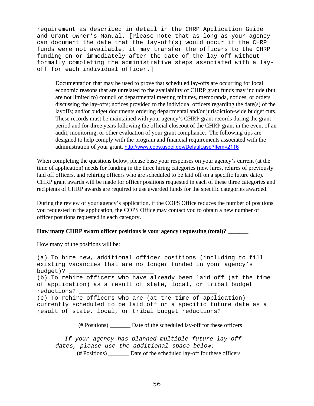requirement as described in detail in the CHRP Application Guide and Grant Owner's Manual. [Please note that as long as your agency can document the date that the lay-off(s) would occur if the CHRP funds were not available, it may transfer the officers to the CHRP funding on or immediately after the date of the lay-off without formally completing the administrative steps associated with a layoff for each individual officer.]

Documentation that may be used to prove that scheduled lay-offs are occurring for local economic reasons that are unrelated to the availability of CHRP grant funds may include (but are not limited to) council or departmental meeting minutes, memoranda, notices, or orders discussing the lay-offs; notices provided to the individual officers regarding the date(s) of the layoffs; and/or budget documents ordering departmental and/or jurisdiction-wide budget cuts. These records must be maintained with your agency's CHRP grant records during the grant period and for three years following the official closeout of the CHRP grant in the event of an audit, monitoring, or other evaluation of your grant compliance. The following tips are designed to help comply with the program and financial requirements associated with the administration of your grant. http://www.cops.usdoj.gov/Default.asp?Item=2116

When completing the questions below, please base your responses on your agency's current (at the time of application) needs for funding in the three hiring categories (new hires, rehires of previously laid off officers, and rehiring officers who are scheduled to be laid off on a specific future date). CHRP grant awards will be made for officer positions requested in each of these three categories and recipients of CHRP awards are required to use awarded funds for the specific categories awarded.

 officer positions requested in each category. During the review of your agency's application, if the COPS Office reduces the number of positions you requested in the application, the COPS Office may contact you to obtain a new number of

#### **How many CHRP sworn officer positions is your agency requesting (total)? \_\_\_\_\_\_\_**

How many of the positions will be:

(a) To hire new, additional officer positions (including to fill existing vacancies that are no longer funded in your agency's budget)? (b) To rehire officers who have already been laid off (at the time of application) as a result of state, local, or tribal budget reductions? \_\_\_\_\_\_\_\_\_\_\_\_\_\_\_\_\_\_\_\_\_\_\_\_\_\_\_\_\_\_\_\_\_\_\_\_\_\_\_ (c) To rehire officers who are (at the time of application) currently scheduled to be laid off on a specific future date as a result of state, local, or tribal budget reductions?

(# Positions) \_\_\_\_\_\_\_ Date of the scheduled lay-off for these officers

*If your agency has planned multiple future lay-off dates, please use the additional space below:*  (# Positions) \_\_\_\_\_\_\_ Date of the scheduled lay-off for these officers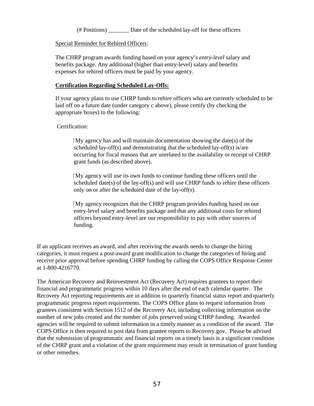(# Positions) \_\_\_\_\_\_\_ Date of the scheduled lay-off for these officers

Special Reminder for Rehired Officers:

 expenses for rehired officers must be paid by your agency. The CHRP program awards funding based on your agency's *entry-level* salary and benefits package. Any additional (higher than entry-level) salary and benefits

## **Certification Regarding Scheduled Lay-Offs:**

If your agency plans to use CHRP funds to rehire officers who are currently scheduled to be laid off on a future date (under category c above), please certify (by checking the appropriate boxes) to the following:

### Certification:

 $\rm My$  agency has and will maintain documentation showing the date(s) of the scheduled lay-off(s) and demonstrating that the scheduled lay-off(s) is/are occurring for fiscal reasons that are unrelated to the availability or receipt of CHRP grant funds (as described above).

 only on or after the scheduled date of the lay-off(s). My agency will use its own funds to continue funding these officers until the scheduled date(s) of the lay-off(s) and will use CHRP funds to rehire these officers

 My agency recognizes that the CHRP program provides funding based on our entry-level salary and benefits package and that any additional costs for rehired officers beyond entry-level are our responsibility to pay with other sources of funding.

If an applicant receives an award, and after receiving the awards needs to change the hiring categories, it must request a post-award grant modification to change the categories of hiring and receive prior approval before spending CHRP funding by calling the COPS Office Response Center at 1-800-4216770.

The American Recovery and Reinvestment Act (Recovery Act) requires grantees to report their financial and programmatic progress within 10 days after the end of each calendar quarter. The Recovery Act reporting requirements are in addition to quarterly financial status report and quarterly programmatic progress report requirements. The COPS Office plans to request information from grantees consistent with Section 1512 of the Recovery Act, including collecting information on the number of new jobs created and the number of jobs preserved using CHRP funding. Awarded agencies will be required to submit information in a timely manner as a condition of the award. The COPS Office is then required to post data from grantee reports to Recovery.gov. Please be advised that the submission of programmatic and financial reports on a timely basis is a significant condition of the CHRP grant and a violation of the grant requirement may result in termination of grant funding or other remedies.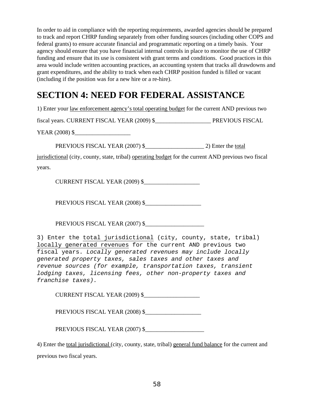In order to aid in compliance with the reporting requirements, awarded agencies should be prepared to track and report CHRP funding separately from other funding sources (including other COPS and federal grants) to ensure accurate financial and programmatic reporting on a timely basis. Your agency should ensure that you have financial internal controls in place to monitor the use of CHRP funding and ensure that its use is consistent with grant terms and conditions. Good practices in this area would include written accounting practices, an accounting system that tracks all drawdowns and grant expenditures, and the ability to track when each CHRP position funded is filled or vacant (including if the position was for a new hire or a re-hire).

# **SECTION 4: NEED FOR FEDERAL ASSISTANCE**

1) Enter your law enforcement agency's total operating budget for the current AND previous two

fiscal years. CURRENT FISCAL YEAR (2009) \$\_\_\_\_\_\_\_\_\_\_\_\_\_\_\_\_\_\_\_ PREVIOUS FISCAL

YEAR (2008) \$

PREVIOUS FISCAL YEAR (2007) \$\_\_\_\_\_\_\_\_\_\_\_\_\_\_\_\_\_\_\_\_ 2) Enter the total

jurisdictional (city, county, state, tribal) operating budget for the current AND previous two fiscal years.

CURRENT FISCAL YEAR (2009) \$\_\_\_\_\_\_\_\_\_\_\_\_\_\_\_\_\_\_\_

PREVIOUS FISCAL YEAR (2008) \$\_\_\_\_\_\_\_\_\_\_\_\_\_\_\_\_\_\_\_

PREVIOUS FISCAL YEAR (2007) \$\_\_\_\_\_\_\_\_\_\_\_\_\_\_\_\_\_\_\_\_

3) Enter the total jurisdictional (city, county, state, tribal) locally generated revenues for the current AND previous two fiscal years. *Locally generated revenues may include locally generated property taxes, sales taxes and other taxes and revenue sources (for example, transportation taxes, transient lodging taxes, licensing fees, other non-property taxes and franchise taxes).* 

CURRENT FISCAL YEAR (2009) \$\_\_\_\_\_\_\_\_\_\_\_\_\_\_\_\_\_\_\_

PREVIOUS FISCAL YEAR (2008) \$

PREVIOUS FISCAL YEAR (2007) \$\_\_\_\_\_\_\_\_\_\_\_\_\_\_\_\_\_\_\_\_

4) Enter the total jurisdictional (city, county, state, tribal) general fund balance for the current and previous two fiscal years.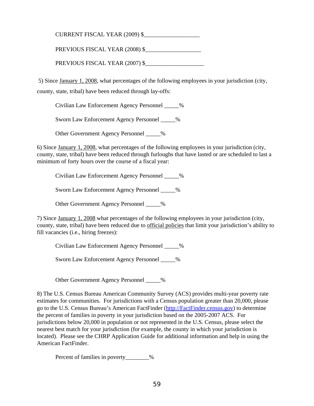CURRENT FISCAL YEAR (2009) \$\_\_\_\_\_\_\_\_\_\_\_\_\_\_\_\_\_\_\_

PREVIOUS FISCAL YEAR (2008) \$

PREVIOUS FISCAL YEAR (2007) \$

 5) Since January 1, 2008, what percentages of the following employees in your jurisdiction (city, county, state, tribal) have been reduced through lay-offs:

Civilian Law Enforcement Agency Personnel \_\_\_\_\_%

Sworn Law Enforcement Agency Personnel \_\_\_\_\_%

Other Government Agency Personnel \_\_\_\_\_%

6) Since January 1, 2008, what percentages of the following employees in your jurisdiction (city, county, state, tribal) have been reduced through furloughs that have lasted or are scheduled to last a minimum of forty hours over the course of a fiscal year:

Civilian Law Enforcement Agency Personnel \_\_\_\_\_%

Sworn Law Enforcement Agency Personnel \_\_\_\_\_%

Other Government Agency Personnel \_\_\_\_\_%

7) Since January 1, 2008 what percentages of the following employees in your jurisdiction (city, county, state, tribal) have been reduced due to official policies that limit your jurisdiction's ability to fill vacancies (i.e., hiring freezes):

Civilian Law Enforcement Agency Personnel \_\_\_\_\_%

Sworn Law Enforcement Agency Personnel \_\_\_\_\_%

Other Government Agency Personnel \_\_\_\_\_%

8) The U.S. Census Bureau American Community Survey (ACS) provides multi-year poverty rate estimates for communities. For jurisdictions with a Census population greater than 20,000, please go to the U.S. Census Bureau's American FactFinder (http://FactFinder.census.gov) to determine the percent of families in poverty in your jurisdiction based on the 2005-2007 ACS. For jurisdictions below 20,000 in population or not represented in the U.S. Census, please select the nearest best match for your jurisdiction (for example, the county in which your jurisdiction is located). Please see the CHRP Application Guide for additional information and help in using the American FactFinder.

Percent of families in poverty\_\_\_\_\_\_\_\_%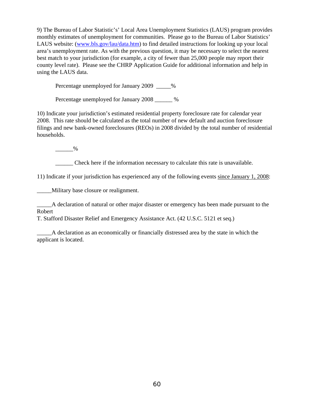9) The Bureau of Labor Statistic's' Local Area Unemployment Statistics (LAUS) program provides monthly estimates of unemployment for communities. Please go to the Bureau of Labor Statistics' LAUS website: (www.bls.gov/lau/data.htm) to find detailed instructions for looking up your local area's unemployment rate. As with the previous question, it may be necessary to select the nearest best match to your jurisdiction (for example, a city of fewer than 25,000 people may report their county level rate). Please see the CHRP Application Guide for additional information and help in using the LAUS data.

Percentage unemployed for January 2009  $\frac{1}{2}$ 

Percentage unemployed for January 2008  $\%$ 

10) Indicate your jurisdiction's estimated residential property foreclosure rate for calendar year 2008. This rate should be calculated as the total number of new default and auction foreclosure filings and new bank-owned foreclosures (REOs) in 2008 divided by the total number of residential households.

 $\frac{9}{6}$ 

\_\_\_\_\_\_ Check here if the information necessary to calculate this rate is unavailable.

11) Indicate if your jurisdiction has experienced any of the following events since January 1, 2008:

\_\_\_\_\_Military base closure or realignment.

\_\_\_\_\_A declaration of natural or other major disaster or emergency has been made pursuant to the Robert

T. Stafford Disaster Relief and Emergency Assistance Act. (42 U.S.C. 5121 et seq.)

\_\_\_\_\_A declaration as an economically or financially distressed area by the state in which the applicant is located.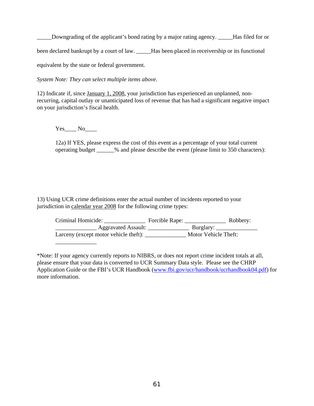Downgrading of the applicant's bond rating by a major rating agency. Has filed for or

been declared bankrupt by a court of law. \_\_\_\_\_Has been placed in receivership or its functional

equivalent by the state or federal government.

*System Note: They can select multiple items above.* 

12) Indicate if, since January 1, 2008, your jurisdiction has experienced an unplanned, nonrecurring, capital outlay or unanticipated loss of revenue that has had a significant negative impact on your jurisdiction's fiscal health.

Yes No

12a) If YES, please express the cost of this event as a percentage of your total current operating budget \_\_\_\_\_\_% and please describe the event (please limit to 350 characters):

13) Using UCR crime definitions enter the actual number of incidents reported to your jurisdiction in calendar year 2008 for the following crime types:

| Criminal Homicide:                    | Forcible Rape: |                                    | Robbery: |  |
|---------------------------------------|----------------|------------------------------------|----------|--|
| Aggravated Assault:                   |                | Burglary: $\overline{\phantom{a}}$ |          |  |
| Larceny (except motor vehicle theft): |                | Motor Vehicle Theft:               |          |  |
|                                       |                |                                    |          |  |

\*Note: If your agency currently reports to NIBRS, or does not report crime incident totals at all, please ensure that your data is converted to UCR Summary Data style. Please see the CHRP Application Guide or the FBI's UCR Handbook (www.fbi.gov/ucr/handbook/ucrhandbook04.pdf) for more information.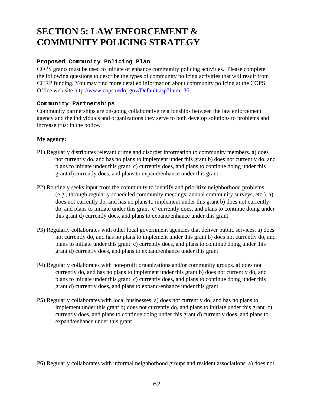# **SECTION 5: LAW ENFORCEMENT & COMMUNITY POLICING STRATEGY**

## **Proposed Community Policing Plan**

COPS grants must be used to initiate or enhance community policing activities. Please complete the following questions to describe the types of community policing activities that will result from CHRP funding. You may find more detailed information about community policing at the COPS Office web site http://www.cops.usdoj.gov/Default.asp?Item=36.

#### **Community Partnerships**

Community partnerships are on-going collaborative relationships between the law enforcement agency and the individuals and organizations they serve to both develop solutions to problems and increase trust in the police.

#### **My agency:**

- P1) Regularly distributes relevant crime and disorder information to community members. a) does not currently do, and has no plans to implement under this grant b) does not currently do, and plans to initiate under this grant c) currently does, and plans to continue doing under this grant d) currently does, and plans to expand/enhance under this grant
- P2) Routinely seeks input from the community to identify and prioritize neighborhood problems (e.g., through regularly scheduled community meetings, annual community surveys, etc.). a) does not currently do, and has no plans to implement under this grant b) does not currently do, and plans to initiate under this grant c) currently does, and plans to continue doing under this grant d) currently does, and plans to expand/enhance under this grant
- P3) Regularly collaborates with other local government agencies that deliver public services. a) does not currently do, and has no plans to implement under this grant b) does not currently do, and plans to initiate under this grant c) currently does, and plans to continue doing under this grant d) currently does, and plans to expand/enhance under this grant
- P4) Regularly collaborates with non-profit organizations and/or community groups. a) does not currently do, and has no plans to implement under this grant b) does not currently do, and plans to initiate under this grant c) currently does, and plans to continue doing under this grant d) currently does, and plans to expand/enhance under this grant
- P5) Regularly collaborates with local businesses. a) does not currently do, and has no plans to implement under this grant b) does not currently do, and plans to initiate under this grant c) currently does, and plans to continue doing under this grant d) currently does, and plans to expand/enhance under this grant
- P6) Regularly collaborates with informal neighborhood groups and resident associations. a) does not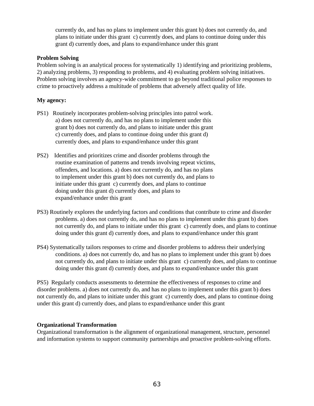currently do, and has no plans to implement under this grant b) does not currently do, and plans to initiate under this grant c) currently does, and plans to continue doing under this grant d) currently does, and plans to expand/enhance under this grant

#### **Problem Solving**

Problem solving is an analytical process for systematically 1) identifying and prioritizing problems, 2) analyzing problems, 3) responding to problems, and 4) evaluating problem solving initiatives. Problem solving involves an agency-wide commitment to go beyond traditional police responses to crime to proactively address a multitude of problems that adversely affect quality of life.

#### **My agency:**

- PS1) Routinely incorporates problem-solving principles into patrol work. a) does not currently do, and has no plans to implement under this grant b) does not currently do, and plans to initiate under this grant c) currently does, and plans to continue doing under this grant d) currently does, and plans to expand/enhance under this grant
- PS2) Identifies and prioritizes crime and disorder problems through the routine examination of patterns and trends involving repeat victims, offenders, and locations. a) does not currently do, and has no plans to implement under this grant b) does not currently do, and plans to initiate under this grant c) currently does, and plans to continue doing under this grant d) currently does, and plans to expand/enhance under this grant
- PS3) Routinely explores the underlying factors and conditions that contribute to crime and disorder problems. a) does not currently do, and has no plans to implement under this grant b) does not currently do, and plans to initiate under this grant c) currently does, and plans to continue doing under this grant d) currently does, and plans to expand/enhance under this grant
- PS4) Systematically tailors responses to crime and disorder problems to address their underlying conditions. a) does not currently do, and has no plans to implement under this grant b) does not currently do, and plans to initiate under this grant c) currently does, and plans to continue doing under this grant d) currently does, and plans to expand/enhance under this grant

PS5) Regularly conducts assessments to determine the effectiveness of responses to crime and disorder problems. a) does not currently do, and has no plans to implement under this grant b) does not currently do, and plans to initiate under this grant c) currently does, and plans to continue doing under this grant d) currently does, and plans to expand/enhance under this grant

#### **Organizational Transformation**

Organizational transformation is the alignment of organizational management, structure, personnel and information systems to support community partnerships and proactive problem-solving efforts.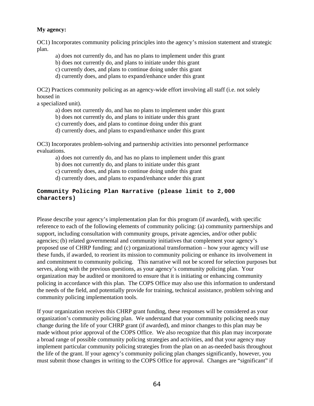## **My agency:**

OC1) Incorporates community policing principles into the agency's mission statement and strategic plan.

a) does not currently do, and has no plans to implement under this grant

b) does not currently do, and plans to initiate under this grant

c) currently does, and plans to continue doing under this grant

d) currently does, and plans to expand/enhance under this grant

OC2) Practices community policing as an agency-wide effort involving all staff (i.e. not solely housed in

a specialized unit).

- a) does not currently do, and has no plans to implement under this grant
- b) does not currently do, and plans to initiate under this grant
- c) currently does, and plans to continue doing under this grant
- d) currently does, and plans to expand/enhance under this grant

OC3) Incorporates problem-solving and partnership activities into personnel performance evaluations.

a) does not currently do, and has no plans to implement under this grant

b) does not currently do, and plans to initiate under this grant

c) currently does, and plans to continue doing under this grant

d) currently does, and plans to expand/enhance under this grant

#### **Community Policing Plan Narrative (please limit to 2,000 characters)**

Please describe your agency's implementation plan for this program (if awarded), with specific reference to each of the following elements of community policing: (a) community partnerships and support, including consultation with community groups, private agencies, and/or other public agencies; (b) related governmental and community initiatives that complement your agency's proposed use of CHRP funding; and (c) organizational transformation – how your agency will use these funds, if awarded, to reorient its mission to community policing or enhance its involvement in and commitment to community policing. This narrative will not be scored for selection purposes but serves, along with the previous questions, as your agency's community policing plan. Your organization may be audited or monitored to ensure that it is initiating or enhancing community policing in accordance with this plan. The COPS Office may also use this information to understand the needs of the field, and potentially provide for training, technical assistance, problem solving and community policing implementation tools.

If your organization receives this CHRP grant funding, these responses will be considered as your organization's community policing plan. We understand that your community policing needs may change during the life of your CHRP grant (if awarded), and minor changes to this plan may be made without prior approval of the COPS Office. We also recognize that this plan may incorporate a broad range of possible community policing strategies and activities, and that your agency may implement particular community policing strategies from the plan on an as-needed basis throughout the life of the grant. If your agency's community policing plan changes significantly, however, you must submit those changes in writing to the COPS Office for approval. Changes are "significant" if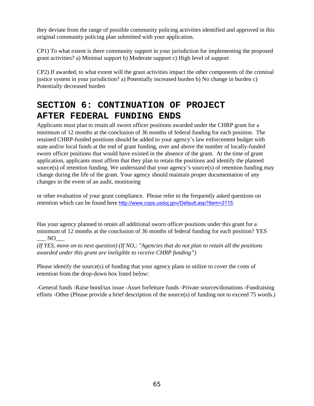they deviate from the range of possible community policing activities identified and approved in this original community policing plan submitted with your application.

CP1) To what extent is there community support in your jurisdiction for implementing the proposed grant activities? a) Minimal support b) Moderate support c) High level of support

CP2) If awarded, to what extent will the grant activities impact the other components of the criminal justice system in your jurisdiction? a) Potentially increased burden b) No change in burden c) Potentially decreased burden

# **SECTION 6: CONTINUATION OF PROJECT AFTER FEDERAL FUNDING ENDS**

Applicants must plan to retain all sworn officer positions awarded under the CHRP grant for a minimum of 12 months at the conclusion of 36 months of federal funding for each position. The retained CHRP-funded positions should be added to your agency's law enforcement budget with state and/or local funds at the end of grant funding, over and above the number of locally-funded sworn officer positions that would have existed in the absence of the grant. At the time of grant application, applicants must affirm that they plan to retain the positions and identify the planned source(s) of retention funding. We understand that your agency's source(s) of retention funding may change during the life of the grant. Your agency should maintain proper documentation of any changes in the event of an audit, monitoring

or other evaluation of your grant compliance. Please refer to the frequently asked questions on retention which can be found here http://www.cops.usdoj.gov/Default.asp?Item=2115.

Has your agency planned to retain all additional sworn officer positions under this grant for a minimum of 12 months at the conclusion of 36 months of federal funding for each position? YES  $N$ O

*(If YES, move on to next question) (If NO,: "Agencies that do not plan to retain all the positions awarded under this grant are ineligible to receive CHRP funding")* 

Please identify the source(s) of funding that your agency plans to utilize to cover the costs of retention from the drop-down box listed below:

-General funds -Raise bond/tax issue -Asset forfeiture funds -Private sources/donations -Fundraising efforts -Other (Please provide a brief description of the source(s) of funding not to exceed 75 words.)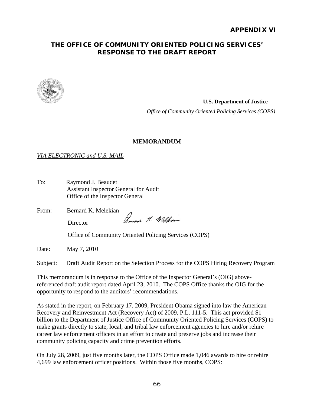# **THE OFFICE OF COMMUNITY ORIENTED POLICING SERVICES' RESPONSE TO THE DRAFT REPORT**



**U.S. Department of Justice** 

 *Office of Community Oriented Policing Services (COPS)* 

#### **MEMORANDUM**

# *VIA ELECTRONIC and U.S. MAIL*

To: Raymond J. Beaudet Assistant Inspector General for Audit Office of the Inspector General

From: Bernard K. Melekian Barnet N. Malhor **Director** 

Office of Community Oriented Policing Services (COPS)

Date: May 7, 2010

Subject: Draft Audit Report on the Selection Process for the COPS Hiring Recovery Program

This memorandum is in response to the Office of the Inspector General's (OIG) abovereferenced draft audit report dated April 23, 2010. The COPS Office thanks the OIG for the opportunity to respond to the auditors' recommendations.

As stated in the report, on February 17, 2009, President Obama signed into law the American Recovery and Reinvestment Act (Recovery Act) of 2009, P.L. 111-5. This act provided \$1 billion to the Department of Justice Office of Community Oriented Policing Services (COPS) to make grants directly to state, local, and tribal law enforcement agencies to hire and/or rehire career law enforcement officers in an effort to create and preserve jobs and increase their community policing capacity and crime prevention efforts.

On July 28, 2009, just five months later, the COPS Office made 1,046 awards to hire or rehire 4,699 law enforcement officer positions. Within those five months, COPS: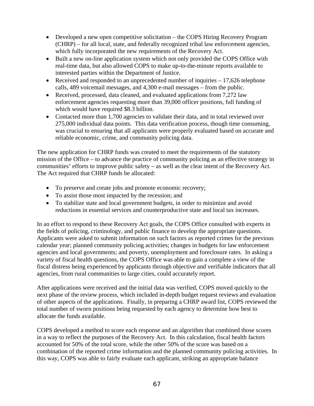- Developed a new open competitive solicitation the COPS Hiring Recovery Program (CHRP) – for all local, state, and federally recognized tribal law enforcement agencies, which fully incorporated the new requirements of the Recovery Act.
- Built a new on-line application system which not only provided the COPS Office with real-time data, but also allowed COPS to make up-to-the-minute reports available to interested parties within the Department of Justice.
- Received and responded to an unprecedented number of inquiries  $-17,626$  telephone calls, 489 voicemail messages, and 4,300 e-mail messages – from the public.
- Received, processed, data cleaned, and evaluated applications from 7,272 law enforcement agencies requesting more than 39,000 officer positions, full funding of which would have required \$8.3 billion.
- Contacted more than 1,700 agencies to validate their data, and in total reviewed over 275,000 individual data points. This data verification process, though time consuming, was crucial to ensuring that all applicants were properly evaluated based on accurate and reliable economic, crime, and community policing data.

The new application for CHRP funds was created to meet the requirements of the statutory mission of the Office – to advance the practice of community policing as an effective strategy in communities' efforts to improve public safety – as well as the clear intent of the Recovery Act. The Act required that CHRP funds be allocated:

- To preserve and create jobs and promote economic recovery;
- To assist those most impacted by the recession; and
- To stabilize state and local government budgets, in order to minimize and avoid reductions in essential services and counterproductive state and local tax increases.

In an effort to respond to these Recovery Act goals, the COPS Office consulted with experts in the fields of policing, criminology, and public finance to develop the appropriate questions. Applicants were asked to submit information on such factors as reported crimes for the previous calendar year; planned community policing activities; changes in budgets for law enforcement agencies and local governments; and poverty, unemployment and foreclosure rates. In asking a variety of fiscal health questions, the COPS Office was able to gain a complete a view of the fiscal distress being experienced by applicants through objective and verifiable indicators that all agencies, from rural communities to large cities, could accurately report.

After applications were received and the initial data was verified, COPS moved quickly to the next phase of the review process, which included in-depth budget request reviews and evaluation of other aspects of the applications. Finally, in preparing a CHRP award list, COPS reviewed the total number of sworn positions being requested by each agency to determine how best to allocate the funds available.

COPS developed a method to score each response and an algorithm that combined those scores in a way to reflect the purposes of the Recovery Act. In this calculation, fiscal health factors accounted for 50% of the total score, while the other 50% of the score was based on a combination of the reported crime information and the planned community policing activities. In this way, COPS was able to fairly evaluate each applicant, striking an appropriate balance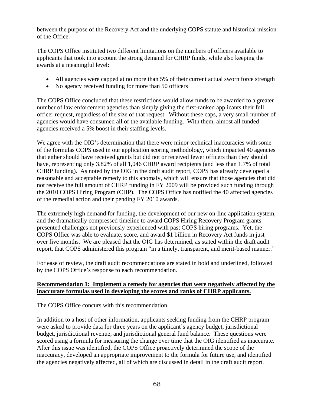between the purpose of the Recovery Act and the underlying COPS statute and historical mission of the Office.

The COPS Office instituted two different limitations on the numbers of officers available to applicants that took into account the strong demand for CHRP funds, while also keeping the awards at a meaningful level:

- All agencies were capped at no more than 5% of their current actual sworn force strength
- No agency received funding for more than 50 officers

The COPS Office concluded that these restrictions would allow funds to be awarded to a greater number of law enforcement agencies than simply giving the first-ranked applicants their full officer request, regardless of the size of that request. Without these caps, a very small number of agencies would have consumed all of the available funding. With them, almost all funded agencies received a 5% boost in their staffing levels.

We agree with the OIG's determination that there were minor technical inaccuracies with some of the formulas COPS used in our application scoring methodology, which impacted 40 agencies that either should have received grants but did not or received fewer officers than they should have, representing only 3.82% of all 1,046 CHRP award recipients (and less than 1.7% of total CHRP funding). As noted by the OIG in the draft audit report, COPS has already developed a reasonable and acceptable remedy to this anomaly, which will ensure that those agencies that did not receive the full amount of CHRP funding in FY 2009 will be provided such funding through the 2010 COPS Hiring Program (CHP). The COPS Office has notified the 40 affected agencies of the remedial action and their pending FY 2010 awards.

The extremely high demand for funding, the development of our new on-line application system, and the dramatically compressed timeline to award COPS Hiring Recovery Program grants presented challenges not previously experienced with past COPS hiring programs. Yet, the COPS Office was able to evaluate, score, and award \$1 billion in Recovery Act funds in just over five months. We are pleased that the OIG has determined, as stated within the draft audit report, that COPS administered this program "in a timely, transparent, and merit-based manner."

For ease of review, the draft audit recommendations are stated in bold and underlined, followed by the COPS Office's response to each recommendation.

# **Recommendation 1: Implement a remedy for agencies that were negatively affected by the inaccurate formulas used in developing the scores and ranks of CHRP applicants.**

The COPS Office concurs with this recommendation.

In addition to a host of other information, applicants seeking funding from the CHRP program were asked to provide data for three years on the applicant's agency budget, jurisdictional budget, jurisdictional revenue, and jurisdictional general fund balance. These questions were scored using a formula for measuring the change over time that the OIG identified as inaccurate. After this issue was identified, the COPS Office proactively determined the scope of the inaccuracy, developed an appropriate improvement to the formula for future use, and identified the agencies negatively affected, all of which are discussed in detail in the draft audit report.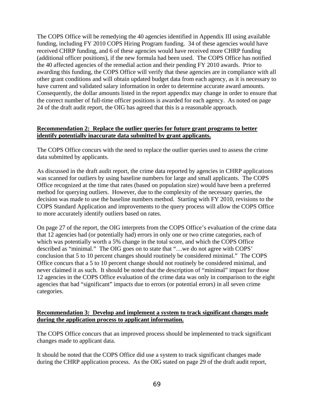The COPS Office will be remedying the 40 agencies identified in Appendix III using available funding, including FY 2010 COPS Hiring Program funding. 34 of these agencies would have received CHRP funding, and 6 of these agencies would have received more CHRP funding (additional officer positions), if the new formula had been used. The COPS Office has notified the 40 affected agencies of the remedial action and their pending FY 2010 awards. Prior to awarding this funding, the COPS Office will verify that these agencies are in compliance with all other grant conditions and will obtain updated budget data from each agency, as it is necessary to have current and validated salary information in order to determine accurate award amounts. Consequently, the dollar amounts listed in the report appendix may change in order to ensure that the correct number of full-time officer positions is awarded for each agency. As noted on page 24 of the draft audit report, the OIG has agreed that this is a reasonable approach.

#### **Recommendation 2: Replace the outlier queries for future grant programs to better identify potentially inaccurate data submitted by grant applicants.**

The COPS Office concurs with the need to replace the outlier queries used to assess the crime data submitted by applicants.

As discussed in the draft audit report, the crime data reported by agencies in CHRP applications was scanned for outliers by using baseline numbers for large and small applicants. The COPS Office recognized at the time that rates (based on population size) would have been a preferred method for querying outliers. However, due to the complexity of the necessary queries, the decision was made to use the baseline numbers method. Starting with FY 2010, revisions to the COPS Standard Application and improvements to the query process will allow the COPS Office to more accurately identify outliers based on rates.

On page 27 of the report, the OIG interprets from the COPS Office's evaluation of the crime data that 12 agencies had (or potentially had) errors in only one or two crime categories, each of which was potentially worth a 5% change in the total score, and which the COPS Office described as "minimal." The OIG goes on to state that "…we do not agree with COPS' conclusion that 5 to 10 percent changes should routinely be considered minimal." The COPS Office concurs that a 5 to 10 percent change should not routinely be considered minimal, and never claimed it as such. It should be noted that the description of "minimal" impact for those 12 agencies in the COPS Office evaluation of the crime data was only in comparison to the eight agencies that had "significant" impacts due to errors (or potential errors) in all seven crime categories.

#### **Recommendation 3: Develop and implement a system to track significant changes made during the application process to applicant information.**

The COPS Office concurs that an improved process should be implemented to track significant changes made to applicant data.

It should be noted that the COPS Office did use a system to track significant changes made during the CHRP application process. As the OIG stated on page 29 of the draft audit report,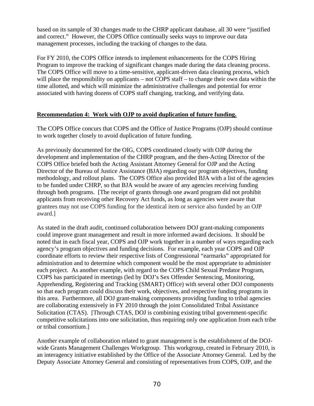based on its sample of 30 changes made to the CHRP applicant database, all 30 were "justified and correct." However, the COPS Office continually seeks ways to improve our data management processes, including the tracking of changes to the data.

For FY 2010, the COPS Office intends to implement enhancements for the COPS Hiring Program to improve the tracking of significant changes made during the data cleaning process. The COPS Office will move to a time-sensitive, applicant-driven data cleaning process, which will place the responsibility on applicants – not COPS staff – to change their own data within the time allotted, and which will minimize the administrative challenges and potential for error associated with having dozens of COPS staff changing, tracking, and verifying data.

# **Recommendation 4: Work with OJP to avoid duplication of future funding.**

The COPS Office concurs that COPS and the Office of Justice Programs (OJP) should continue to work together closely to avoid duplication of future funding.

As previously documented for the OIG, COPS coordinated closely with OJP during the development and implementation of the CHRP program, and the then-Acting Director of the COPS Office briefed both the Acting Assistant Attorney General for OJP and the Acting Director of the Bureau of Justice Assistance (BJA) regarding our program objectives, funding methodology, and rollout plans. The COPS Office also provided BJA with a list of the agencies to be funded under CHRP, so that BJA would be aware of any agencies receiving funding through both programs. [The receipt of grants through one award program did not prohibit applicants from receiving other Recovery Act funds, as long as agencies were aware that grantees may not use COPS funding for the identical item or service also funded by an OJP award.]

As stated in the draft audit, continued collaboration between DOJ grant-making components could improve grant management and result in more informed award decisions. It should be noted that in each fiscal year, COPS and OJP work together in a number of ways regarding each agency's program objectives and funding decisions. For example, each year COPS and OJP coordinate efforts to review their respective lists of Congressional "earmarks" appropriated for administration and to determine which component would be the most appropriate to administer each project. As another example, with regard to the COPS Child Sexual Predator Program, COPS has participated in meetings (led by DOJ's Sex Offender Sentencing, Monitoring, Apprehending, Registering and Tracking (SMART) Office) with several other DOJ components so that each program could discuss their work, objectives, and respective funding programs in this area. Furthermore, all DOJ grant-making components providing funding to tribal agencies are collaborating extensively in FY 2010 through the joint Consolidated Tribal Assistance Solicitation (CTAS). [Through CTAS, DOJ is combining existing tribal government-specific competitive solicitations into one solicitation, thus requiring only one application from each tribe or tribal consortium.]

Another example of collaboration related to grant management is the establishment of the DOJwide Grants Management Challenges Workgroup. This workgroup, created in February 2010, is an interagency initiative established by the Office of the Associate Attorney General. Led by the Deputy Associate Attorney General and consisting of representatives from COPS, OJP, and the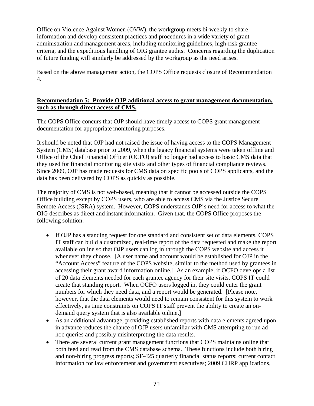Office on Violence Against Women (OVW), the workgroup meets bi-weekly to share information and develop consistent practices and procedures in a wide variety of grant administration and management areas, including monitoring guidelines, high-risk grantee criteria, and the expeditious handling of OIG grantee audits. Concerns regarding the duplication of future funding will similarly be addressed by the workgroup as the need arises.

Based on the above management action, the COPS Office requests closure of Recommendation 4.

# **Recommendation 5: Provide OJP additional access to grant management documentation, such as through direct access of CMS.**

The COPS Office concurs that OJP should have timely access to COPS grant management documentation for appropriate monitoring purposes.

It should be noted that OJP had not raised the issue of having access to the COPS Management System (CMS) database prior to 2009, when the legacy financial systems were taken offline and Office of the Chief Financial Officer (OCFO) staff no longer had access to basic CMS data that they used for financial monitoring site visits and other types of financial compliance reviews. Since 2009, OJP has made requests for CMS data on specific pools of COPS applicants, and the data has been delivered by COPS as quickly as possible.

The majority of CMS is not web-based, meaning that it cannot be accessed outside the COPS Office building except by COPS users, who are able to access CMS via the Justice Secure Remote Access (JSRA) system. However, COPS understands OJP's need for access to what the OIG describes as direct and instant information. Given that, the COPS Office proposes the following solution:

- If OJP has a standing request for one standard and consistent set of data elements, COPS IT staff can build a customized, real-time report of the data requested and make the report available online so that OJP users can log in through the COPS website and access it whenever they choose. [A user name and account would be established for OJP in the "Account Access" feature of the COPS website, similar to the method used by grantees in accessing their grant award information online.] As an example, if OCFO develops a list of 20 data elements needed for each grantee agency for their site visits, COPS IT could create that standing report. When OCFO users logged in, they could enter the grant numbers for which they need data, and a report would be generated. [Please note, however, that the data elements would need to remain consistent for this system to work effectively, as time constraints on COPS IT staff prevent the ability to create an ondemand query system that is also available online.]
- As an additional advantage, providing established reports with data elements agreed upon in advance reduces the chance of OJP users unfamiliar with CMS attempting to run ad hoc queries and possibly misinterpreting the data results.
- There are several current grant management functions that COPS maintains online that both feed and read from the CMS database schema. These functions include both hiring and non-hiring progress reports; SF-425 quarterly financial status reports; current contact information for law enforcement and government executives; 2009 CHRP applications,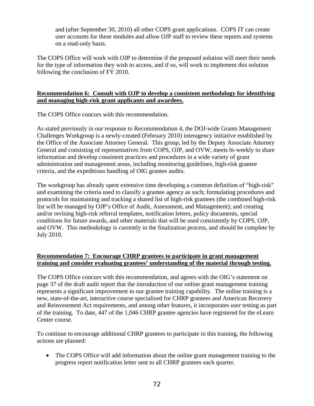and (after September 30, 2010) all other COPS grant applications. COPS IT can create user accounts for these modules and allow OJP staff to review these reports and systems on a read-only basis.

The COPS Office will work with OJP to determine if the proposed solution will meet their needs for the type of information they wish to access, and if so, will work to implement this solution following the conclusion of FY 2010.

# **Recommendation 6: Consult with OJP to develop a consistent methodology for identifying and managing high-risk grant applicants and awardees.**

The COPS Office concurs with this recommendation.

As stated previously in our response to Recommendation 4, the DOJ-wide Grants Management Challenges Workgroup is a newly-created (February 2010) interagency initiative established by the Office of the Associate Attorney General. This group, led by the Deputy Associate Attorney General and consisting of representatives from COPS, OJP, and OVW, meets bi-weekly to share information and develop consistent practices and procedures in a wide variety of grant administration and management areas, including monitoring guidelines, high-risk grantee criteria, and the expeditious handling of OIG grantee audits.

The workgroup has already spent extensive time developing a common definition of "high-risk" and examining the criteria used to classify a grantee agency as such; formulating procedures and protocols for maintaining and tracking a shared list of high-risk grantees (the combined high-risk list will be managed by OJP's Office of Audit, Assessment, and Management); and creating and/or revising high-risk referral templates, notification letters, policy documents, special conditions for future awards, and other materials that will be used consistently by COPS, OJP, and OVW. This methodology is currently in the finalization process, and should be complete by July 2010.

# **Recommendation 7: Encourage CHRP grantees to participate in grant management training and consider evaluating grantees' understanding of the material through testing.**

The COPS Office concurs with this recommendation, and agrees with the OIG's statement on page 37 of the draft audit report that the introduction of our online grant management training represents a significant improvement to our grantee training capability. The online training is a new, state-of-the-art, interactive course specialized for CHRP grantees and American Recovery and Reinvestment Act requirements, and among other features, it incorporates user testing as part of the training. To date, 447 of the 1,046 CHRP grantee agencies have registered for the eLearn Center course.

To continue to encourage additional CHRP grantees to participate in this training, the following actions are planned:

• The COPS Office will add information about the online grant management training to the progress report notification letter sent to all CHRP grantees each quarter.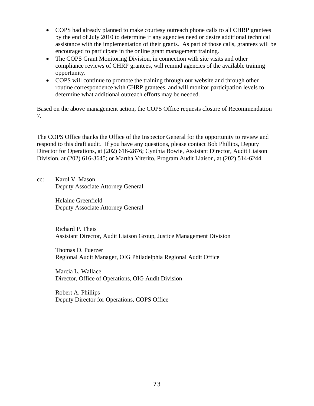- COPS had already planned to make courtesy outreach phone calls to all CHRP grantees by the end of July 2010 to determine if any agencies need or desire additional technical assistance with the implementation of their grants. As part of those calls, grantees will be encouraged to participate in the online grant management training.
- The COPS Grant Monitoring Division, in connection with site visits and other compliance reviews of CHRP grantees, will remind agencies of the available training opportunity.
- COPS will continue to promote the training through our website and through other routine correspondence with CHRP grantees, and will monitor participation levels to determine what additional outreach efforts may be needed.

Based on the above management action, the COPS Office requests closure of Recommendation 7.

The COPS Office thanks the Office of the Inspector General for the opportunity to review and respond to this draft audit. If you have any questions, please contact Bob Phillips, Deputy Director for Operations, at (202) 616-2876; Cynthia Bowie, Assistant Director, Audit Liaison Division, at (202) 616-3645; or Martha Viterito, Program Audit Liaison, at (202) 514-6244.

cc: Karol V. Mason Deputy Associate Attorney General

> Helaine Greenfield Deputy Associate Attorney General

Richard P. Theis Assistant Director, Audit Liaison Group, Justice Management Division

 Thomas O. Puerzer Regional Audit Manager, OIG Philadelphia Regional Audit Office

Marcia L. Wallace Director, Office of Operations, OIG Audit Division

Robert A. Phillips Deputy Director for Operations, COPS Office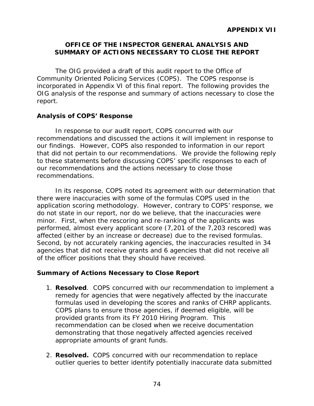# **OFFICE OF THE INSPECTOR GENERAL ANALYSIS AND SUMMARY OF ACTIONS NECESSARY TO CLOSE THE REPORT**

The OIG provided a draft of this audit report to the Office of Community Oriented Policing Services (COPS). The COPS response is incorporated in Appendix VI of this final report. The following provides the OIG analysis of the response and summary of actions necessary to close the report.

# **Analysis of COPS' Response**

In response to our audit report, COPS concurred with our recommendations and discussed the actions it will implement in response to our findings. However, COPS also responded to information in our report that did not pertain to our recommendations. We provide the following reply to these statements before discussing COPS' specific responses to each of our recommendations and the actions necessary to close those recommendations.

In its response, COPS noted its agreement with our determination that there were inaccuracies with some of the formulas COPS used in the application scoring methodology. However, contrary to COPS' response, we do not state in our report, nor do we believe, that the inaccuracies were minor. First, when the rescoring and re-ranking of the applicants was performed, almost every applicant score (7,201 of the 7,203 rescored) was affected (either by an increase or decrease) due to the revised formulas. Second, by not accurately ranking agencies, the inaccuracies resulted in 34 agencies that did not receive grants and 6 agencies that did not receive all of the officer positions that they should have received.

# **Summary of Actions Necessary to Close Report**

- 1. **Resolved**. COPS concurred with our recommendation to implement a remedy for agencies that were negatively affected by the inaccurate formulas used in developing the scores and ranks of CHRP applicants. COPS plans to ensure those agencies, if deemed eligible, will be provided grants from its FY 2010 Hiring Program. This recommendation can be closed when we receive documentation demonstrating that those negatively affected agencies received appropriate amounts of grant funds.
- 2. **Resolved.** COPS concurred with our recommendation to replace outlier queries to better identify potentially inaccurate data submitted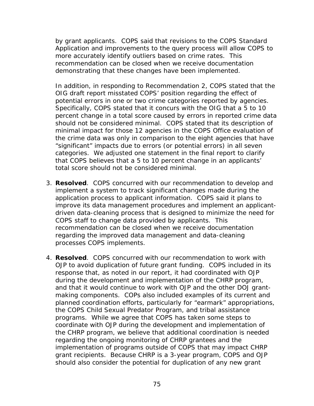by grant applicants. COPS said that revisions to the COPS Standard Application and improvements to the query process will allow COPS to more accurately identify outliers based on crime rates. This recommendation can be closed when we receive documentation demonstrating that these changes have been implemented.

In addition, in responding to Recommendation 2, COPS stated that the OIG draft report misstated COPS' position regarding the effect of potential errors in one or two crime categories reported by agencies. Specifically, COPS stated that it concurs with the OIG that a 5 to 10 percent change in a total score caused by errors in reported crime data should not be considered minimal. COPS stated that its description of minimal impact for those 12 agencies in the COPS Office evaluation of the crime data was only in comparison to the eight agencies that have "significant" impacts due to errors (or potential errors) in all seven categories. We adjusted one statement in the final report to clarify that COPS believes that a 5 to 10 percent change in an applicants' total score should not be considered minimal.

- processes COPS implements. 3. **Resolved**. COPS concurred with our recommendation to develop and implement a system to track significant changes made during the application process to applicant information. COPS said it plans to improve its data management procedures and implement an applicantdriven data-cleaning process that is designed to minimize the need for COPS staff to change data provided by applicants. This recommendation can be closed when we receive documentation regarding the improved data management and data-cleaning
- 4. **Resolved**. COPS concurred with our recommendation to work with OJP to avoid duplication of future grant funding. COPS included in its response that, as noted in our report, it had coordinated with OJP during the development and implementation of the CHRP program, and that it would continue to work with OJP and the other DOJ grantmaking components. COPs also included examples of its current and planned coordination efforts, particularly for "earmark" appropriations, the COPS Child Sexual Predator Program, and tribal assistance programs. While we agree that COPS has taken some steps to coordinate with OJP during the development and implementation of the CHRP program, we believe that additional coordination is needed regarding the ongoing monitoring of CHRP grantees and the implementation of programs outside of COPS that may impact CHRP grant recipients. Because CHRP is a 3-year program, COPS and OJP should also consider the potential for duplication of any new grant